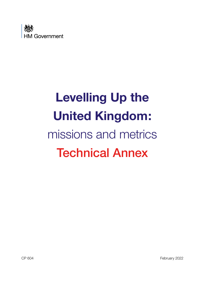

# **Levelling Up the United Kingdom:**  missions and metrics Technical Annex

CP 604 February 2022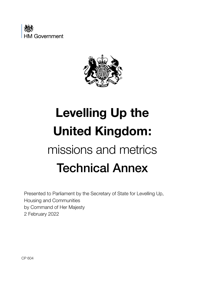



# **Levelling Up the United Kingdom:**  missions and metrics Technical Annex

Presented to Parliament by the Secretary of State for Levelling Up, Housing and Communities by Command of Her Majesty 2 February 2022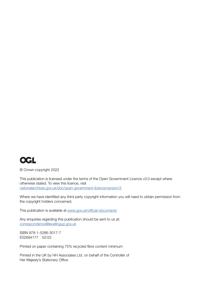

© Crown copyright 2022

This publication is licensed under the terms of the Open Government Licence v3.0 except where otherwise stated. To view this licence, visit *<nationalarchives.gov.uk/doc/open-government-licence/version/3>*.

Where we have identifed any third party copyright information you will need to obtain permission from the copyright holders concerned.

This publication is available at *[www.gov.uk/offcial-documents](www.gov.uk/official-documents)*

Any enquiries regarding this publication should be sent to us at: *[correspondence@levellingup.gov.uk](mailto:correspondence@levellingup.gov.uk)*

ISBN 978-1-5286-3017-7 E02694177 02/22

Printed on paper containing 75% recycled fibre content minimum

Printed in the UK by HH Associates Ltd. on behalf of the Controller of Her Majesty's Stationery Office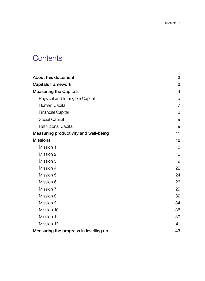# **Contents**

| About this document                          | $\overline{2}$ |
|----------------------------------------------|----------------|
| <b>Capitals framework</b>                    | $\overline{2}$ |
| <b>Measuring the Capitals</b>                | $\overline{4}$ |
| Physical and Intangible Capital              | 5              |
| Human Capital                                | $\overline{7}$ |
| <b>Financial Capital</b>                     | 8              |
| Social Capital                               | 9              |
| <b>Institutional Capital</b>                 | 9              |
| <b>Measuring productivity and well-being</b> | 11             |
| <b>Missions</b>                              | 12             |
| Mission 1                                    | 13             |
| Mission 2                                    | 16             |
| Mission 3                                    | 19             |
| Mission 4                                    | 22             |
| Mission 5                                    | 24             |
| Mission 6                                    | 26             |
| Mission 7                                    | 29             |
| Mission 8                                    | 32             |
| Mission 9                                    | 34             |
| Mission 10                                   | 36             |
| Mission 11                                   | 39             |
| Mission 12                                   | 41             |
| Measuring the progress in levelling up       | 43             |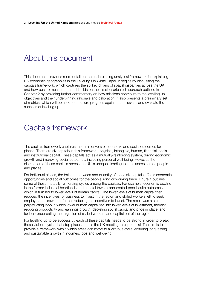# <span id="page-4-0"></span>About this document

This document provides more detail on the underpinning analytical framework for explaining UK economic geographies in the Levelling Up White Paper. It begins by discussing the capitals framework, which captures the six key drivers of spatial disparities across the UK and how best to measure them. It builds on the mission-oriented approach outlined in Chapter 2 by providing further commentary on how missions contribute to the levelling up objectives and their underpinning rationale and calibration. It also presents a preliminary set of metrics, which will be used to measure progress against the missions and evaluate the success of levelling up.

## Capitals framework

The capitals framework captures the main drivers of economic and social outcomes for places. There are six capitals in this framework: physical, intangible, human, fnancial, social and institutional capital. These capitals act as a mutually-reinforcing system, driving economic growth and improving social outcomes, including personal well-being. However, the distribution of these capitals across the UK is unequal, leading to imbalances across people and places.

For individual places, the balance between and quantity of these six capitals affects economic opportunities and social outcomes for the people living or working there. Figure 1 outlines some of these mutually-reinforcing cycles among the capitals. For example, economic decline in the former industrial heartlands and coastal towns exacerbated poor health outcomes, which in turn led to lower levels of human capital. The lower levels of human capital then reduced the incentives for business to invest in the region and skilled workers left to seek employment elsewhere, further reducing the incentives to invest. The result was a selfperpetuating loop in which lower human capital fed into lower levels of investment, thereby reducing productivity and earnings growth, depleting social capital and pride in place, and further exacerbating the migration of skilled workers and capital out of the region.

For levelling up to be successful, each of these capitals needs to be strong in order to break these vicious cycles that stop places across the UK meeting their potential. The aim is to provide a framework within which areas can move to a virtuous cycle, ensuring long-lasting and sustainable growth in incomes, jobs and well-being.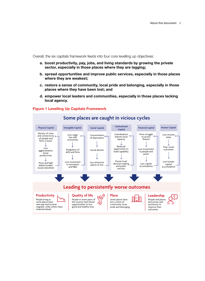Overall, the six capitals framework feeds into four core levelling up objectives:

- **a. boost productivity, pay, jobs, and living standards by growing the private sector, especially in those places where they are lagging;**
- **b. spread opportunities and improve public services, especially in those places where they are weakest;**
- **c. restore a sense of community, local pride and belonging, especially in those places where they have been lost; and**
- **d. empower local leaders and communities, especially in those places lacking local agency.**



### **Figure 1 Levelling Up Capitals Framework**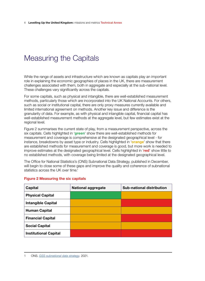# <span id="page-6-0"></span>Measuring the Capitals

While the range of assets and infrastructure which are known as capitals play an important role in explaining the economic geographies of places in the UK, there are measurement challenges associated with them, both in aggregate and especially at the sub-national level. These challenges vary signifcantly across the capitals.

For some capitals, such as physical and intangible, there are well-established measurement methods, particularly those which are incorporated into the UK National Accounts. For others, such as social or institutional capital, there are only proxy measures currently available and limited international agreement on methods. Another key issue and difference is the granularity of data. For example, as with physical and intangible capital, fnancial capital has well-established measurement methods at the aggregate level, but few estimates exist at the regional level.

Figure 2 summarises the current state of play, from a measurement perspective, across the six capitals. Cells highlighted in '**green**' show there are well-established methods for measurement and coverage is comprehensive at the designated geographical level - for instance, breakdowns by asset type or industry. Cells highlighted in '**orange**' show that there are established methods for measurement and coverage is good, but more work is needed to improve estimates at the designated geographical level. Cells highlighted in '**red**' show little to no established methods, with coverage being limited at the designated geographical level.

The Office for National Statistics's (ONS) Subnational Data Strategy, published in December, will begin to close some of these gaps and improve the quality and coherence of subnational statistics across the UK over time.<sup>1</sup>

| Capital                      | <b>National aggregate</b> | <b>Sub-national distribution</b> |
|------------------------------|---------------------------|----------------------------------|
| <b>Physical Capital</b>      |                           |                                  |
| <b>Intangible Capital</b>    |                           |                                  |
| <b>Human Capital</b>         |                           |                                  |
| <b>Financial Capital</b>     |                           |                                  |
| <b>Social Capital</b>        |                           |                                  |
| <b>Institutional Capital</b> |                           |                                  |

## **Figure 2 Measuring the six capitals**

<sup>1</sup> ONS. *[GSS subnational data strategy](https://gss.civilservice.gov.uk/policy-store/gss-subnational-data-strategy/).* 2021.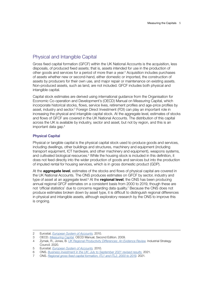## <span id="page-7-0"></span>Physical and Intangible Capital

Gross fxed capital formation (GFCF) within the UK National Accounts is the acquisition, less disposals, of produced fxed assets; that is, assets intended for use in the production of other goods and services for a period of more than a year.<sup>2</sup> Acquisition includes purchases of assets whether new or second-hand, either domestic or imported, the construction of assets by producers for their own use, and major repair or maintenance on existing assets. Non-produced assets, such as land, are not included. GFCF includes both physical and intangible capital.

Capital stock estimates are derived using international guidance from the Organisation for Economic Co-operation and Development's (OECD) Manual on Measuring Capital, which incorporate historical stocks, flows, service lives, retirement profiles and age-price profiles by asset, industry and sector.<sup>3</sup> Foreign Direct Investment (FDI) can play an important role in increasing the physical and intangible capital stock. At the aggregate level, estimates of stocks and flows of GFCF are covered in the UK National Accounts. The distribution of this capital across the UK is available by industry, sector and asset, but not by region, and this is an important data gap.4

## Physical Capital

Physical or tangible capital is the physical capital stock used to produce goods and services, including dwellings, other buildings and structures, machinery and equipment (including transport equipment, ICT hardware, and other machinery and equipment), weapons systems, and cultivated biological resources.<sup>5</sup> While the housing stock is included in this definition, it does not feed directly into the wider production of goods and services but into the production of imputed rental for housing services, which is in gross domestic product (GDP).

At the **aggregate level**, estimates of the stocks and flows of physical capital are covered in the UK National Accounts. The ONS produces estimates on GFCF by sector, industry and type of asset at an aggregate level.<sup>6</sup> At the **regional level**, the ONS has been producing annual regional GFCF estimates on a consistent basis from 2000 to 2019, though these are not 'official statistics' due to concerns regarding data quality.<sup>7</sup> Because the ONS does not produce estimates broken down by asset type, it is difficult to distinguish regional differences in physical and intangible assets, although exploratory research by the ONS to improve this is ongoing.

<sup>2</sup> Eurostat. *[European System of Accounts](https://ec.europa.eu/eurostat/documents/3859598/5925693/KS-02-13-269-EN.PDF/44cd9d01-bc64-40e5-bd40-d17df0c69334).* 2010.

<sup>3</sup> OECD. *[Measuring Capital](https://www.oecd.org/sdd/productivity-stats/43734711.pdf).* OECD Manual, Second Edition. 2009.

<sup>4</sup> Zymek, R., Jones, B. *[UK Regional Productivity Differences: An Evidence Review.](https://industrialstrategycouncil.org/sites/default/files/attachments/UK%20Regional%20Productivity%20Differences%20-%20An%20Evidence%20Review_0.pdf)* Industrial Strategy Council. 2020.

<sup>5</sup> Eurostat. *[European System of Accounts](https://ec.europa.eu/eurostat/documents/3859598/5925693/KS-02-13-269-EN.PDF/44cd9d01-bc64-40e5-bd40-d17df0c69334).* 2010.

<sup>6</sup> ONS. *[Business investment in the UK: July to September 2021 revised results](https://www.ons.gov.uk/economy/grossdomesticproductgdp/bulletins/businessinvestment/latest).* 2021.

<sup>7</sup> ONS. *[Regional gross fxed capital formation, ITL1 and ITL2, 2000 to 2019](https://www.ons.gov.uk/economy/regionalaccounts/grossdisposablehouseholdincome/adhocs/13655regionalgrossfixedcapitalformationitl1anditl22000to2019)*. 2021.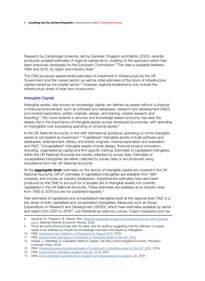Research by Cambridge University, led by Gardiner, Fingleton and Martin (2020), recently produced updated estimates of regional capital stock, building on the approach which had been previously developed for the European Commission.<sup>8</sup> This data is available between 1995 and 2016, by region and industry level.<sup>9</sup>

The ONS produces experimental estimates of investment in infrastructure by the UK Government and the market sector, as well as initial estimates of the stock of infrastructure capital owned by the market sector.<sup>10</sup> However, regional breakdowns only include the infrastructure share of total new construction.

## Intangible Capital

Intangible assets, also known as knowledge capital, are defned as assets without a physical or fnancial embodiment, such as software and databases, research and development (R&D) and mineral exploration, artistic originals, design, and training, market research and branding.11 The move towards a services and knowledge-based economy has seen the steady rise in the importance of intangible assets across developed economies, with spending on intangibles now surpassing spending on physical assets.12

In the UK National Accounts, in line with international guidance, spending on some intangible assets is not treated as investment.13 "Capitalised" intangible assets include software and databases; entertainment, literary and artistic originals; mineral exploration and evaluation; and R&D. "Uncapitalised" intangible assets include design, fnancial product innovation, branding, organisational capital and firm-specific training. Estimates of capitalised intangibles within the UK National Accounts are mostly collected by survey data. Estimates of uncapitalised intangibles are either collected by survey data or are produced using imputations from the UK National Accounts.

At the **aggregate level**, estimates on the stocks of intangible capital are covered in the UK National Accounts. GFCF estimates of capitalised intangibles are available from 1997 onwards, and include an industry breakdown. Experimental estimates have also been produced by the ONS to account for a broader set of intangible assets not currently capitalised in the UK National Accounts. These estimates are available at an industry level from 1992 to 2018 but are not published regularly.14

Few estimates of capitalised and uncapitalised intangibles exist at the regional level. R&D is a key driver of both capitalised and uncapitalised intangibles. Measures such as Gross Expenditure on Research and Development (GERD), which have estimates available by sector and region from 2001 to 2019<sup>15</sup>, can therefore be used as a proxy. Output measures such as

<sup>8</sup> Gardiner, B., Fingleton, B., Martin, Ron. *[Regional disparities in labour productivity and the role of capital](https://www.cambridge.org/core/journals/national-institute-economic-review/article/abs/regional-disparities-in-labour-productivity-and-the-role-of-capital-stock/7239D2295CA60F3563DF6091AAEB9F50)  [stock](https://www.cambridge.org/core/journals/national-institute-economic-review/article/abs/regional-disparities-in-labour-productivity-and-the-role-of-capital-stock/7239D2295CA60F3563DF6091AAEB9F50)*. National Institute Economic Review. 2020.

<sup>9</sup> There are some shortcomings with the data, with the authors suggesting that the defnition of capital needs to be widened to include the increasingly important role played by intangibles.

<sup>10</sup> ONS. *[Developing new statistics of infrastructure: August 2018](https://www.ons.gov.uk/economy/economicoutputandproductivity/productivitymeasures/articles/developingnewmeasuresofinfrastructureinvestment/latest).* 2018.

<sup>11</sup> ONS. *[Experimental estimates of investment in intangible assets in the UK: 2015](https://www.ons.gov.uk/economy/economicoutputandproductivity/productivitymeasures/articles/experimentalestimatesofinvestmentinintangibleassetsintheuk2015/2018-02-07).*

<sup>12</sup> Haskel, J., Westlake, S. *Capitalism Without Capital: The Rise of the Intangible Economy.* Princeton University Press. 2018.

<sup>13</sup> ONS. *[Developing experimental estimates of investment in intangible assets in the UK: 2016](https://www.ons.gov.uk/economy/economicoutputandproductivity/productivitymeasures/articles/experimentalestimatesofinvestmentinintangibleassetsintheuk2015/2016).* 2019.

<sup>14</sup> ONS. *[Investment in intangible assets in the UK: 2018.](https://www.ons.gov.uk/economy/economicoutputandproductivity/productivitymeasures/articles/experimentalestimatesofinvestmentinintangibleassetsintheuk2015/2016)* 2021.

<sup>15</sup> ONS. *[Gross domestic expenditure on research and development, by region, UK](https://www.ons.gov.uk/economy/governmentpublicsectorandtaxes/researchanddevelopmentexpenditure/datasets/ukgrossdomesticexpenditureonresearchanddevelopmentregionaltables)*. 2021.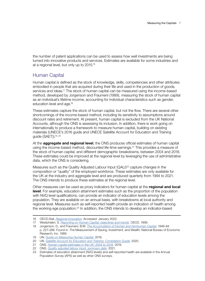<span id="page-9-0"></span>the number of patent applications can be used to assess how well investments are being turned into innovative products and services. Estimates are available for some industries and at a regional level, but only up to 2015.16

## Human Capital

Human capital is defned as the stock of knowledge, skills, competencies and other attributes embodied in people that are acquired during their life and used in the production of goods, services and ideas.<sup>17</sup> The stock of human capital can be measured using the income-based method, developed by Jorgenson and Fraumeni (1989), measuring the stock of human capital as an individual's lifetime income, accounting for individual characteristics such as gender, education level and age.<sup>18</sup>

These estimates capture the stock of human capital, but not the flow. There are several other shortcomings of the income-based method, including its sensitivity to assumptions around discount rates and retirement. At present, human capital is excluded from the UK National Accounts, although the ONS is assessing its inclusion. In addition, there is work going on internationally to produce a framework to measure human capital, building on existing materials (UNECE's 2016 guide and UNECE Satellite Account for Education and Training guide (SAET)).19, 20

At the **aggregate and regional level**, the ONS produces offcial estimates of human capital using the income-based method, discounted life-time earnings.<sup>21</sup> This provides a measure of the stock of human capital, and different demographic breakdowns, between 2004 and 2018. These estimates could be improved at the regional level by leveraging the use of administrative data, which the ONS is considering.

Measures such as the Quality Adjusted Labour Input (QALI)<sup>22</sup> capture changes in the composition or "quality" of the employed workforce. These estimates are only available for the UK at the industry and aggregate level and are produced quarterly from 1994 to 2021. The ONS intends to produce these estimates at the regional level.

Other measures can be used as proxy indicators for human capital at the **regional and local level**. For example, education attainment estimates such as the proportion of the population with NVQ level qualifications, can provide an indicator of education levels among the population. They are available on an annual basis, with breakdowns at local authority and regional level. Measures such as self-reported health provide an indication of health among the working-age population.<sup>23</sup> In addition, the ONS intends to develop an indicator-based

<sup>16</sup> OECD.Stat. *[Regional Innovation](https://stats.oecd.org/Index.aspx?DataSetCode=REGION_INNOVATION)*. Accessed: January 2022.

<sup>17</sup> Westphalen, S. *[Reporting on Human Capital; objectives and trends](https://www.oecd.org/sti/ind/1948014.pdf).* OECD. 1999.

<sup>18</sup> Jorgenson, D., and Fraumeni, B.M. *[The Accumulation of Human and Nonhuman Capital](https://www.nber.org/system/files/chapters/c8121/c8121.pdf)*, *1948-84*. p. 227–286. Found in: The Measurement of Saving, Investment, and Wealth, National Bureau of Economic Research, Inc. 1989.

<sup>19</sup> UN. *[Guide on Measuring Human Capital.](https://unece.org/fileadmin/DAM/stats/documents/ece/ces/bur/2016/October/17Add1-HumanCapitalGuide_final.pdf)* 2016.

<sup>20</sup> UN. *[Satellite Account for Education and Training: Compilation Guide.](https://unece.org/DAM/stats/documents/ece/ces/ge.20/2019/GuideSAET__Draft__Nov_2019_.pdf)* 2020.

<sup>21</sup> ONS. *[Human capital estimates in the UK: 2004 to 2018](https://www.ons.gov.uk/peoplepopulationandcommunity/wellbeing/articles/humancapitalestimates/2004to2018).* 2019.

<sup>22</sup> ONS. *[Quality adjusted labour input, summary data.](https://www.ons.gov.uk/economy/economicoutputandproductivity/productivitymeasures/datasets/qualityadjustedlabourinputexperimentalsummarydata)* 2021.

<sup>23</sup> Estimates of education attainment (NVQ levels) and self-reported health are available in the Annual Population Survey (APS) as well as other ONS surveys.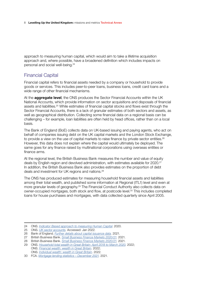<span id="page-10-0"></span>approach to measuring human capital, which would aim to take a lifetime acquisition approach and, where possible, have a broadened definition which includes impacts on personal and social well-being.<sup>24</sup>

## Financial Capital

Financial capital refers to fnancial assets needed by a company or household to provide goods or services. This includes peer-to-peer loans, business loans, credit card loans and a wide range of other financial mechanisms.

At the **aggregate level**, the ONS produces the Sector Financial Accounts within the UK National Accounts, which provide information on sector acquisitions and disposals of fnancial assets and liabilities.<sup>25</sup> While estimates of financial capital stocks and flows exist through the Sector Financial Accounts, there is a lack of granular estimates of both sectors and assets, as well as geographical distribution. Collecting some fnancial data on a regional basis can be challenging – for example, loan liabilities are often held by head offices, rather than on a local basis.

The Bank of England (BoE) collects data on UK-based issuing and paying agents, who act on behalf of companies issuing debt on the UK capital markets and the London Stock Exchange, to provide a view on the use of capital markets to raise finance by private sector entities.<sup>26</sup> However, this data does not explain where the capital would ultimately be deployed. The same goes for any finance raised by multinational corporations using overseas entities or finance arms.

At the regional level, the British Business Bank measures the number and value of equity deals by English region and devolved administration, with estimates available for 2020.<sup>27</sup> In addition, the British Business Bank also provides estimates on the proportion of debt deals and investment for UK regions and nations.<sup>28</sup>

The ONS has produced estimates for measuring household fnancial assets and liabilities among their total wealth, and published some information at Regional (ITL1) level and even at more granular levels of geography.<sup>29</sup> The Financial Conduct Authority also collects data on owner-occupied mortgages, both stock and flow, at postcode level.<sup>30</sup> This includes completed loans for house purchases and mortgages, with data collected quarterly since April 2005.

<sup>24</sup> ONS. *[Indicator Based approach to measuring Human Capital](https://consultations.ons.gov.uk/well-being-inequalities-sustainability-and-environment/indicator-based-approach-to-measuring-human-capita/)*. 2020.

<sup>25</sup> ONS. *[UK sector accounts](https://www.ons.gov.uk/economy/nationalaccounts/uksectoraccounts).* Accessed: Jan 2022.

<sup>26</sup> Bank of England. *[Further details about capital issuance data](https://www.bankofengland.co.uk/statistics/details/capital-issuance).* 2021.

<sup>27</sup> British Business Bank. *[Small Business Finance Markets 2020/21](https://www.british-business-bank.co.uk/wp-content/uploads/2021/03/BBB-SBFM-Report-2021-Widescreen-AW-tagged-002.pdf).* 2021.

<sup>28</sup> British Business Bank. *[Small Business Finance Markets 2020/21](https://www.british-business-bank.co.uk/wp-content/uploads/2021/03/BBB-SBFM-Report-2021-Widescreen-AW-tagged-002.pdf).* 2021.

<sup>29</sup> ONS. *[Household total wealth in Great Britain: April 2018 to March 2020.](https://www.ons.gov.uk/peoplepopulationandcommunity/personalandhouseholdfinances/incomeandwealth/datasets/financialwealthwealthingreatbritain)* 2022; ONS. *Financial wealth: [wealth in Great Britain](https://www.ons.gov.uk/peoplepopulationandcommunity/personalandhouseholdfinances/incomeandwealth/datasets/financialwealthwealthingreatbritain).* 2022;

ONS. *[Individual wealth: wealth in Great Britain.](https://www.ons.gov.uk/peoplepopulationandcommunity/personalandhouseholdfinances/incomeandwealth/datasets/individualwealthwealthingreatbritain)* 2022.

<sup>30</sup> FCA. *[Mortgage lending statistics – December 2021.](https://www.fca.org.uk/data/mortgage-lending-statistics)* 2021.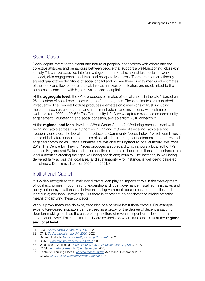## <span id="page-11-0"></span>Social Capital

Social capital refers to the extent and nature of peoples' connections with others and the collective attitudes and behaviours between people that support a well-functioning, close-knit society.<sup>31</sup> It can be classified into four categories: personal relationships, social network support, civic engagement, and trust and co-operative norms. There are no internationallyagreed quantitative defnitions of social capital and nor are there directly measured estimates of the stock and fow of social capital. Instead, proxies or indicators are used, linked to the outcomes associated with higher levels of social capital.

At the **aggregate level**, the ONS produces estimates of social capital in the UK,<sup>32</sup> based on 25 indicators of social capital covering the four categories. These estimates are published infrequently. The Bennett Institute produces estimates on dimensions of trust, including measures such as general trust and trust in individuals and institutions, with estimates available from 2002 to 2016.<sup>33</sup> The Community Life Survey captures evidence on community engagement, volunteering and social cohesion, available from 2016 onwards.<sup>34</sup>

At the **regional and local level**, the What Works Centre for Wellbeing presents local wellbeing indicators across local authorities in England.<sup>35</sup> Some of these indicators are not frequently updated. The Local Trust produces a Community Needs Index,<sup>36</sup> which combines a series of indicators under the domains of social infrastructure, connectedness, and active and engaged communities. These estimates are available for England at local authority level from 2019. The Centre for Thriving Places produces a scorecard which shows a local authority's score in England and Wales under the headline elements of local conditions – for instance, are local authorities creating the right well-being conditions; equality – for instance, is well-being delivered fairly across the local area; and sustainability – for instance, is well-being delivered sustainably. Data is available for 2020 and 2021. <sup>37</sup>

## Institutional Capital

It is widely recognised that institutional capital can play an important role in the development of local economies through strong leadership and local governance; fscal, administrative, and policy autonomy; relationships between local government, businesses, communities and individuals; and local knowledge. But there is at present no consistent or reliable statistical means of capturing these concepts.

Various proxy measures do exist, capturing one or more institutional factors. For example, expenditure-based indicators can be used as a proxy for the degree of decentralisation of decision-making, such as the share of expenditure of revenues spent or collected at the subnational level.38 Estimates for the UK are available between 1990 and 2019 at the **regional and local level**.

- 31 ONS. *[Social capital in the UK: 2020](https://www.ons.gov.uk/peoplepopulationandcommunity/wellbeing/bulletins/socialcapitalintheuk/2020).* 2020.
- 32 ONS. *[Social capital in the UK: 2020](https://www.ons.gov.uk/peoplepopulationandcommunity/wellbeing/bulletins/socialcapitalintheuk/2020).* 2020.
- 33 Bennett Institute. *[Valuing Wealth, Building Prosperity](https://www.bennettinstitute.cam.ac.uk/media/uploads/files/WER_layout_March_2020_ONLINE_doubles.pdf).* 2020.
- 34 DCMS. *[Community Life Survey 2020/21](https://www.gov.uk/government/statistics/community-life-survey-202021)*. 2021.
- 35 What Works Wellbeing. *[Understanding Local Needs for wellbeing Data](https://whatworkswellbeing.org/resources/understanding-local-needs-for-wellbeing-data/).* 2017.
- 36 OCSI. *[Left Behind areas 2020 Interim Set](https://localtrust.org.uk/wp-content/uploads/2020/07/Left-Behind-Areas-IMD-2019-REVISED-SLIDE-DECK-with-revised-unemployment-slide-Read-Only-copy.pdf)*. 2020.
- 37 Centre for Thriving Places. *[Thriving Places Index](https://www.thrivingplacesindex.org/candidates/E07000223)*. Accessed: December 2021.
- 38 OECD. *[OECD Fiscal Decentralisation Database.](https://www.oecd.org/tax/federalism/fiscal-decentralisation-database/)* 2019.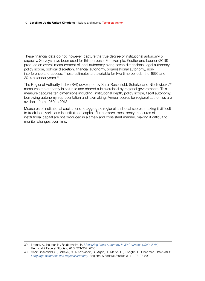#### 10 **Levelling Up the United Kingdom:** missions and metrics Technical Annex

These fnancial data do not, however, capture the true degree of institutional autonomy or capacity. Surveys have been used for this purpose. For example, Keuffer and Ladner (2016) produce an overall measurement of local autonomy along seven dimensions: legal autonomy, policy scope, political discretion, fnancial autonomy, organisational autonomy, noninterference and access. These estimates are available for two time periods, the 1990 and 2014 calendar years.39

The Regional Authority Index (RAI) developed by Shair-Rosenfield, Schakel and Niedzwiecki,<sup>40</sup> measures the authority in self-rule and shared rule exercised by regional governments. This measure captures ten dimensions including: institutional depth, policy scope, fiscal autonomy, borrowing autonomy, representation and lawmaking. Annual scores for regional authorities are available from 1950 to 2018.

Measures of institutional capital tend to aggregate regional and local scores, making it difficult to track local variations in institutional capital. Furthermore, most proxy measures of institutional capital are not produced in a timely and consistent manner, making it difficult to monitor changes over time.

39 Ladner, A., Keuffer, N., Baldersheim, H. *[Measuring Local Autonomy in 39 Countries \(1990–2014\)](https://www.tandfonline.com/doi/abs/10.1080/13597566.2016.1214911)*. Regional & Federal Studies, 26:3, 321-357. 2016.

<sup>40</sup> Shair-Rosenfeld, S., Schakel, S., Niedzwiecki, S., Arjan, H., Marks, G., Hooghe, L., Chapman-Osterkatz S. *[Language difference and regional authority](https://www.arjanschakel.nl/index.php/regional-authority-index).* Regional & Federal Studies 31 (1): 73-97. 2021.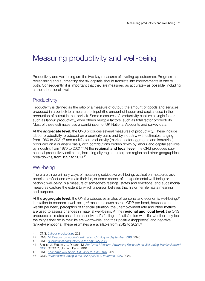# <span id="page-13-0"></span>Measuring productivity and well-being

Productivity and well-being are the two key measures of levelling up outcomes. Progress in replenishing and augmenting the six capitals should translate into improvements in one or both. Consequently, it is important that they are measured as accurately as possible, including at the subnational level.

## **Productivity**

Productivity is defned as the ratio of a measure of output (the amount of goods and services produced in a period) to a measure of input (the amount of labour and capital used in the production of output in that period). Some measures of productivity capture a single factor, such as labour productivity, while others multiple factors, such as total factor productivity. Most of these estimates use a combination of UK National Accounts and survey data.

At the **aggregate level**, the ONS produces several measures of productivity. These include labour productivity, produced on a quarterly basis and by industry, with estimates ranging from 1960 to 2021;<sup>41</sup> and multifactor productivity (market sector aggregate and industries), produced on a quarterly basis, with contributions broken down by labour and capital services by industry, from 1970 to 2021.<sup>42</sup> At the **regional and local level**, the ONS produces subnational productivity estimates, including city region, enterprise region and other geographical breakdowns, from 1997 to 2019.43

## Well-being

There are three primary ways of measuring subjective well-being: evaluation measures ask people to refect and evaluate their life, or some aspect of it; experimental well-being or hedonic well-being is a measure of someone's feelings, states and emotions; and eudaimonia measures capture the extent to which a person believes that his or her life has a meaning and purpose.

At the **aggregate level**, the ONS produces estimates of personal and economic well-being.<sup>44</sup> In relation to economic well-being,<sup>45</sup> measures such as real GDP per head, household net wealth per head, perception of financial situation, the unemployment rate and other metrics are used to assess changes in material well-being. At the **regional and local level**, the ONS produces estimates based on an individual's feelings of satisfaction with life, whether they feel the things they do in their life are worthwhile, and their positive (happiness) and negative (anxiety) emotions. These estimates are available from 2012 to 2021.46

45 ONS. *[Economic well-being, UK: April to June 2018](https://www.ons.gov.uk/peoplepopulationandcommunity/personalandhouseholdfinances/incomeandwealth/bulletins/economicwellbeing/apriltojune2018).* 2018.

<sup>41</sup> ONS. *[Labour productivity](https://www.ons.gov.uk/employmentandlabourmarket/peopleinwork/labourproductivity).* 2021.

<sup>42</sup> ONS. *[Multi-factor productivity estimates, UK: July to September 2019](https://www.ons.gov.uk/economy/economicoutputandproductivity/productivitymeasures/articles/multifactorproductivityestimates/latest)*. 2020.

<sup>43</sup> ONS. *[Subregional productivity in the UK: July 2021](https://www.ons.gov.uk/employmentandlabourmarket/peopleinwork/labourproductivity/articles/regionalandsubregionalproductivityintheuk/latest)*.

<sup>44</sup> Stiglitz, J., Fitoussi, J., Durand, M. *[For Good Measure: Advancing Research on Well-being Metrics Beyond](https://www.oecd.org/publications/for-good-measure-9789264307278-en.htm)  [GDP.](https://www.oecd.org/publications/for-good-measure-9789264307278-en.htm)* OECD Publishing. Paris. 2018.

<sup>46</sup> ONS. *[Personal well-being in the UK: April 2020 to March 2021](https://www.ons.gov.uk/releases/personalwellbeingintheukapril2020tomarch2021)*. 2021.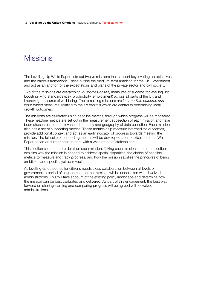<span id="page-14-0"></span>12 **Levelling Up the United Kingdom:** missions and metrics Technical Annex

# **Missions**

The Levelling Up White Paper sets out twelve missions that support key levelling up objectives and the capitals framework. These outline the medium-term ambition for the UK Government and act as an anchor for the expectations and plans of the private sector and civil society.

Two of the missions are overarching, *outcomes-based*, measures of success for levelling up: boosting living standards (pay, productivity, employment) across all parts of the UK and improving measures of well-being. The remaining missions are *intermediate outcome and input-based* measures, relating to the six capitals which are central to determining local growth outcomes.

The missions are calibrated using headline metrics, through which progress will be monitored. These headline metrics are set out in the measurement subsection of each mission and have been chosen based on relevance, frequency and geography of data collection. Each mission also has a set of supporting metrics. These metrics help measure intermediate outcomes, provide additional context and act as an early indicator of progress towards meeting the mission. The full suite of supporting metrics will be developed after publication of the White Paper based on further engagement with a wide range of stakeholders.

This section sets out more detail on each mission. Taking each mission in turn, the section explains why the mission is needed to address spatial disparities, the choice of headline metrics to measure and track progress, and how the mission satisfes the principles of being ambitious and specific, yet achievable.

As levelling up outcomes for citizens needs close collaboration between all levels of government, a period of engagement on the missions will be undertaken with devolved administrations. This will take account of the existing policy landscape and determine how the mission can be best calibrated and delivered. As part of this engagement, the best way forward on sharing learning and comparing progress will be agreed with devolved administrations.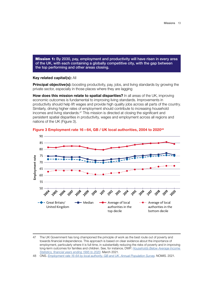<span id="page-15-0"></span>**Mission 1:** By 2030, pay, employment and productivity will have risen in every area of the UK, with each containing a globally competitive city, with the gap between the top performing and other areas closing.

#### **Key related capital(s):** All

**Principal objective(s):** boosting productivity, pay, jobs, and living standards by growing the private sector, especially in those places where they are lagging

**How does this mission relate to spatial disparities?** In all areas of the UK, improving economic outcomes is fundamental to improving living standards. Improvements in productivity should help lift wages and provide high quality jobs across all parts of the country. Similarly, driving higher rates of employment should contribute to increasing household incomes and living standards.<sup>47</sup> This mission is directed at closing the significant and persistent spatial disparities in productivity, wages and employment across all regions and nations of the UK (Figure 3). **Employment rate (16-64) by local authority** 



Figure 3 Employment rate 16-64, GB / UK local authorities, 2004 to 2020<sup>48</sup>

48 ONS. *[Employment rate 16-64 by local authority, GB and UK. Annual Population Survey](https://www.nomisweb.co.uk)*. NOMIS. 2021.

<sup>47</sup> The UK Government has long championed the principle of work as the best route out of poverty and towards fnancial independence. This approach is based on clear evidence about the importance of employment, particularly where it is full-time, in substantially reducing the risks of poverty and in improving long-term outcomes for families and children. See, for instance, DWP. *[Households Below Average Income](https://www.gov.uk/government/statistics/households-below-average-income-for-financial-years-ending-1995-to-2020)  [Statistics, fnancial years ending 1995 to 2020](https://www.gov.uk/government/statistics/households-below-average-income-for-financial-years-ending-1995-to-2020)*. March 2021.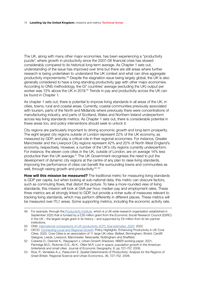The UK, along with many other major economies, has been experiencing a "productivity puzzle", where growth in productivity since the 2007–08 fnancial crisis has slowed considerably compared to its historical long-term average. As Chapter 1 sets out, understanding of the issue has improved over time but there are still areas where further research is being undertaken to understand the UK context and what can drive aggregate productivity improvements.49 Despite the stagnation issue being largely global, the UK is also generally considered to have a long-standing productivity gap with other major economies. According to ONS methodology, the G7 countries' average (excluding the UK) output per worker was 13% above the UK in 2019.<sup>50</sup> Trends in pay and productivity across the UK can be found in Chapter 1.

As chapter 1 sets out, there is potential to improve living standards in all areas of the UK, in cities, towns, rural and coastal areas. Currently, coastal communities previously associated with tourism, parts of the North and Midlands where previously there were concentrations of manufacturing industry, and parts of Scotland, Wales and Northern Ireland underperform across key living standards metrics. As Chapter 1 sets out, there is considerable potential in these areas too, and policy interventions should seek to unlock it.

City regions are particularly important to driving economic growth and long-term prosperity. The eight largest city regions outside of London represent 22% of the UK economy, as measured by GDP, and play a critical role in their regional economies. For instance, Greater Manchester and the Liverpool City regions represent 42% and 20% of North West England's economy, respectively. However, a number of the UK's city regions currently underperform. For instance, the eleven core cities in the UK, outside of London, are on average 14% less productive than the UK average.<sup>51</sup> The UK Government recognises the need to put the development of dynamic city regions at the centre of any plan to raise living standards. Improving the performance of cities can benefit the surrounding towns and communities as well, through raising growth and productivity.<sup>52, 53</sup>

**How will this mission be measured?** The traditional metric for measuring living standards is GDP per capita, but when looking at sub-national data, this metric can obscure factors, such as commuting flows, that distort the picture. To take a more rounded view of living standards, this mission will look at GVA per hour, median pay and employment rates. These three metrics are all strongly linked to GDP, but provide a richer suite of measures relevant to tracking living standards, which may perform differently in different places. These metrics will be measured over ITL1 areas. Some supporting metrics, including the economic activity rate,

<sup>49</sup> For example, through the *[Productivity Institute](https://www.productivity.ac.uk)*, which is a UK-wide research organisation established in September 2020 that is funded by a £26 million grant from the Economic Social Research Council (ESRC) in the UK – the largest single grant in its history – and supported by £6 million from its ten partner institutions.

<sup>50</sup> ONS. *[International comparisons of UK productivity \(ICP\), fnal estimates: 2020](https://www.ons.gov.uk/economy/economicoutputandproductivity/productivitymeasures/bulletins/internationalcomparisonsofproductivityfinalestimates/2020)*. 2022.

<sup>51</sup> OECD. *[Connecting Local and Regional Growth](https://www.oecd.org/cfe/cities/UK-Core-Cities-PH-Final.pdf)*. Policy Highlights. Enhancing Productivity in UK Core Cities. 2020. Core Cities is an association of 11 large UK cities: Belfast, Birmingham, Bristol, Cardiff, Glasgow, Leeds, Liverpool, Manchester, Newcastle, Nottingham and Sheffeld.

<sup>52</sup> Cuberes D., Desmet K., Rappaport J. *Urban Growth Shadows*. NBER working paper. 2021; Partridge M.D., Rickman D.S., Ali K., Olfert M.R. *Lost in space: population growth in the American hinterlands and small cities.* Journal of Economic Geography. 8. pp 727–757. 2008.

<sup>53</sup> Rice, P., Venables A.J., Patacchini E. *Spatial Determinants of Productivity: Analysis for the Regions of Great Britain.* Regional Science and Urban Economics, 36, 727–752. 2006.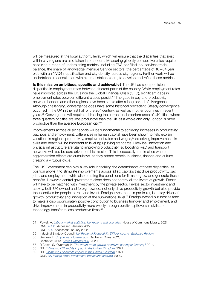will be measured at the local authority level, which will ensure that the disparities that exist within city regions are also taken into account. Measuring globally competitive cities requires capturing a range of underpinning metrics, including GVA per flled job, services trade balance, the share of Knowledge Intensive Service sectors, the percentage of 16 – 64 year olds with an NVQ4+ qualification and city density, across city regions. Further work will be undertaken, in consultation with external stakeholders, to develop and refne these metrics.

**Is this mission ambitious, specific and achievable?** The UK has seen persistent disparities in employment rates between different parts of the country. While employment rates have improved across the UK since the Global Financial Crisis (GFC), significant gaps in employment rates between different places persist.<sup>54</sup> The gaps in pay and productivity between London and other regions have been stable after a long period of divergence. Although challenging, convergence does have some historical precedent. Steady convergence occurred in the UK in the first half of the  $20<sup>th</sup>$  century, as well as in other countries in recent years.<sup>55</sup> Convergence will require addressing the current underperformance of UK cities, where three quarters of cities are less productive than the UK as a whole and only London is more productive than the average European city.56

Improvements across all six capitals will be fundamental to achieving increases in productivity, pay, jobs and employment. Differences in human capital have been shown to help explain variations in regional productivity, employment rates and wages,<sup>57</sup> so driving improvements in skills and health will be important to levelling up living standards. Likewise, innovation and physical infrastructure are vital to improving productivity, so boosting R&D and transport networks will also be core drivers of this mission. This is especially true in cities where agglomeration effects are cumulative, as they attract people, business, fnance and culture, creating a virtuous cycle.

The UK Government can play a key role in tackling the determinants of these disparities. Its position allows it to stimulate improvements across all six capitals that drive productivity, pay, jobs, and employment, while also creating the conditions for firms to grow and generate these benefts. However, central government alone does not control all the levers of growth. Efforts will have to be matched with investment by the private sector. Private sector investment and activity, both UK-owned and foreign-owned, not only drive productivity growth but also provide the incentives for people to train and invest. Foreign investment, in particular, is a key driver of growth, productivity and innovation at the sub-national level.<sup>58</sup> Foreign-owned businesses tend to make a disproportionately positive contribution to business turnover and employment, and drive improvements in productivity more widely through positive spillovers in skills and technology transfer to less productive frms.59

<sup>54</sup> Powell, A. *[Labour market statistics: UK regions and countries](https://researchbriefings.files.parliament.uk/documents/CBP-7950/CBP-7950.pdf)*. House of Commons Library. 2021; ONS. *[ASHE](https://www.ons.gov.uk/surveys/informationforbusinesses/businesssurveys/annualsurveyofhoursandearningsashe)*. Accessed: January 2022; ONS. *[LFS](https://www.ons.gov.uk/surveys/informationforhouseholdsandindividuals/householdandindividualsurveys/labourforcesurvey)*. Accessed: January 2022.

<sup>55</sup> Industrial Strategy Council. *[UK Regional Productivity Differences: An Evidence Review](https://industrialstrategycouncil.org/sites/default/files/attachments/UK%20Regional%20Productivity%20Differences%20-%20An%20Evidence%20Review_0.pdf)*.

<sup>56</sup> Swinney, P. *[So you want to level up?](https://www.centreforcities.org/publication/so-you-want-to-level-up/)*. Centre for Cities. 202[1;](https://www.centreforcities.org/publication/so-you-want-to-level-up/)  Centre for Cities. *[Cities Outlook 2020](https://www.centreforcities.org/wp-content/uploads/2020/01/Cities-Outlook-2020.pdf).* 2020.

<sup>57</sup> D'Costa, S., Overman, H. *[The urban wage growth premium: sorting or learning?](https://eprints.lse.ac.uk/59074/1/__lse.ac.uk_storage_LIBRARY_Secondary_libfile_shared_repository_Content_Overman,%20H_Urban%20wage_Overman_Urban%20wage_2014.pdf)* 2014.

<sup>58</sup> DIT. *[Estimating FDI and its impact in the United Kingdom](https://www.gov.uk/government/publications/estimating-fdi-and-its-impact-in-the-united-kingdom)*. 2021.

<sup>59</sup> DIT. *[Estimating FDI and its impact in the United Kingdom](https://www.gov.uk/government/publications/estimating-fdi-and-its-impact-in-the-united-kingdom)*. 2021. ONS. *[UK foreign direct investment: trends and analysis](https://www.ons.gov.uk/releases/ukforeigndirectinvestmenttrendsandanalysisaugust2020)*. 2020.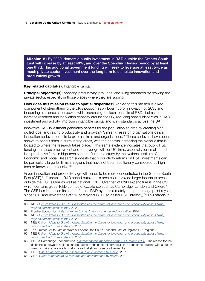<span id="page-18-0"></span>16 **Levelling Up the United Kingdom:** missions and metrics Technical Annex

**Mission 2:** By 2030, domestic public investment in R&D outside the Greater South East will increase by at least 40%, and over the Spending Review period by at least one third. This additional government funding will seek to leverage at least twice as much private sector investment over the long term to stimulate innovation and productivity growth.

### **Key related capital(s):** Intangible capital

**Principal objective(s):** boosting productivity, pay, jobs, and living standards by growing the private sector, especially in those places where they are lagging

**How does this mission relate to spatial disparities?** Achieving this mission is a key component of strengthening the UK's position as a global hub of innovation by 2035 and becoming a science superpower, while increasing the local benefts of R&D. It aims to increase research and innovation capacity around the UK, reducing spatial disparities in R&D investment and activity, improving intangible capital and living standards across the UK.

Innovative R&D investment generates benefts for the population at large by creating highskilled jobs, and raising productivity and growth.<sup>60</sup> Similarly, research organisations deliver innovation spillover benefits to external firms and organisations.<sup>61</sup> These spillovers have been shown to benefit firms in surrounding areas, with the benefits increasing the closer a firm is located to where the research takes place.<sup>62</sup> This same evidence indicates that public R&D funding increases employment and turnover growth for UK frms, especially for smaller and less productive frms in high-tech sectors. Further, a study by the National Institute of Economic and Social Research suggests that productivity returns on R&D investments can be particularly large for frms in regions that have not been traditionally considered as hightech or knowledge-intensive.<sup>63</sup>

Given innovation and productivity growth tends to be more concentrated in the Greater South East (GSE),<sup>64, 65</sup> focusing R&D spend outside this area could provide larger boosts to areas outside the GSE's GVA as well as national GDP.<sup>66</sup> Over half of R&D expenditure is in the GSE, which contains global R&D centres of excellence such as Cambridge, London and Oxford.<sup>67</sup> The GSE has increased its share of gross R&D by approximately one percentage point a year since 2017 and now stands at 2% of regional GDP (so-called R&D intensity).<sup>68</sup> This stands in

- 61 Frontier Economics. *[Rates of return to investment in science and innovation](https://assets.publishing.service.gov.uk/government/uploads/system/uploads/attachment_data/file/333006/bis-14-990-rates-of-return-to-investment-in-science-and-innovation-revised-final-report.pdf)*. 2014.
- 62 NIESR. *[From Ideas to Growth: Understanding the drivers of innovation and productivity across frms,](https://assets.publishing.service.gov.uk/government/uploads/system/uploads/attachment_data/file/1023591/niesr-report.pdf)  [regions and industries in the UK](https://assets.publishing.service.gov.uk/government/uploads/system/uploads/attachment_data/file/1023591/niesr-report.pdf)*. 2021.
- 63 NIESR. *[From Ideas to Growth: Understanding the drivers of innovation and productivity across frms,](https://assets.publishing.service.gov.uk/government/uploads/system/uploads/attachment_data/file/1023591/niesr-report.pdf)  [regions and industries in the UK](https://assets.publishing.service.gov.uk/government/uploads/system/uploads/attachment_data/file/1023591/niesr-report.pdf)*. 2021.
- 64 The Greater South East consists of London, the South East and East of England ITL1 regions.
- 65 NIESR. *[From Ideas to Growth: Understanding the drivers of innovation and productivity across frms,](https://assets.publishing.service.gov.uk/government/uploads/system/uploads/attachment_data/file/1023591/niesr-report.pdf)  [regions and industries in the UK](https://assets.publishing.service.gov.uk/government/uploads/system/uploads/attachment_data/file/1023591/niesr-report.pdf)*. 2021.
- 66 BEIS & Cambridge Econometrics. *[Macroeconomic modelling of the 2.4% target. 2020](https://assets.publishing.service.gov.uk/government/uploads/system/uploads/attachment_data/file/897462/macroeconomic-modelling-of-2-4-r-and-d-target.pdf)*.; The reason for the differences between regions can be traced to the sectoral composition in each case; regions with a higher manufacturing share are typically those that show more positive results.
- 67 ONS. *[Gross Expenditure on research and development, by region.](https://www.ons.gov.uk/economy/governmentpublicsectorandtaxes/researchanddevelopmentexpenditure/datasets/ukgrossdomesticexpenditureonresearchanddevelopmentregionaltables)* 2021.
- 68 ONS. *[Gross Expenditure on research and development, by region.](https://www.ons.gov.uk/economy/governmentpublicsectorandtaxes/researchanddevelopmentexpenditure/datasets/ukgrossdomesticexpenditureonresearchanddevelopmentregionaltables)* 2021.

<sup>60</sup> NIESR. *[From Ideas to Growth: Understanding the drivers of innovation and productivity across frms,](https://assets.publishing.service.gov.uk/government/uploads/system/uploads/attachment_data/file/1023591/niesr-report.pdf)  [regions and industries in the UK](https://assets.publishing.service.gov.uk/government/uploads/system/uploads/attachment_data/file/1023591/niesr-report.pdf)*. 2021.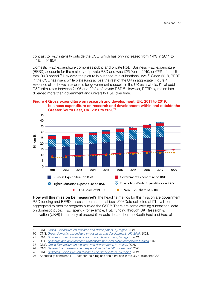contrast to R&D intensity outside the GSE, which has only increased from 1.4% in 2011 to 1.5% in 2019.69

Domestic R&D expenditure comprises public and private R&D. Business R&D expenditure (BERD) accounts for the majority of private R&D and was £25.9bn in 2019, or 67% of the UK total R&D spend.<sup>70</sup> However, the picture is nuanced at a subnational level.<sup>71</sup> Since 2018, BERD in the GSE has risen, while plateauing across the rest of the UK in aggregate (Figure 4). Evidence also shows a clear role for government support: in the UK as a whole, £1 of public R&D stimulates between £1.96 and £2.34 of private R&D.<sup>72</sup> However, BERD by region has diverged more than government and university R&D over time.

**Figure 4 Gross expenditure on research and development, UK, 2011 to 2019;**  business expenditure on research and development within and outside the<br> **Cusater South Fast, UK, 2011 to 2000**<sup>73</sup> **Greater South East, UK, 2011 to 202073**



**How will this mission be measured?** The headline metrics for this mission are government R&D funding and BERD assessed on an annual basis.<sup>74, 75</sup> Data collected at ITL1 will be aggregated to monitor progress outside the GSE.<sup>76</sup> There are some existing subnational data on domestic public R&D spend - for example, R&D funding through UK Research & Innovation (UKRI) is currently at around 51% outside London, the South East and East of

<sup>69</sup> ONS. *[Gross Expenditure on research and development, by region](https://www.ons.gov.uk/economy/governmentpublicsectorandtaxes/researchanddevelopmentexpenditure/datasets/ukgrossdomesticexpenditureonresearchanddevelopmentregionaltables).* 2021.

<sup>70</sup> ONS. *[Gross domestic expenditure on research and development, UK: 2019](https://www.ons.gov.uk/economy/governmentpublicsectorandtaxes/researchanddevelopmentexpenditure/bulletins/ukgrossdomesticexpenditureonresearchanddevelopment/2019)*. 2021.

<sup>71</sup> ONS. *[Business Expenditure on research and development, by region](https://www.ons.gov.uk/economy/governmentpublicsectorandtaxes/researchanddevelopmentexpenditure/datasets/ukgrossdomesticexpenditureonresearchanddevelopmentregionaltables)*. 2021.

<sup>72</sup> BEIS. *[Research and development: relationship between public and private funding](https://www.gov.uk/government/publications/research-and-development-relationship-between-public-and-private-funding)*. 2020.

<sup>73</sup> ONS. *[Gross Expenditure on research and development, by region](https://www.ons.gov.uk/economy/governmentpublicsectorandtaxes/researchanddevelopmentexpenditure/datasets/ukgrossdomesticexpenditureonresearchanddevelopmentregionaltables)*. 2021.

<sup>74</sup> ONS. *[Research and development expenditure by the UK government](https://www.ons.gov.uk/economy/governmentpublicsectorandtaxes/researchanddevelopmentexpenditure/datasets/scienceengineeringandtechnologystatisticsreferencetables)*. 2021.

<sup>75</sup> ONS. *[Business Expenditure on research and development, by region](https://www.ons.gov.uk/economy/governmentpublicsectorandtaxes/researchanddevelopmentexpenditure/datasets/ukbusinessenterpriseresearchanddevelopment)*. 2021.

<sup>76</sup> Specifcally, combined ITL1 data for the 6 regions and 3 nations in the UK outside the GSE.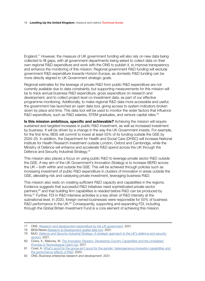England.77 However, the measure of UK government funding will also rely on new data being collected to fll gaps, with all government departments being asked to collect data on their own regional R&D expenditure and work with the ONS to publish it, to improve transparency and enhance the monitoring of this mission. Regional government R&D funding will exclude government R&D expenditure towards Horizon Europe, as domestic R&D funding can be more directly aligned to UK Government strategic goals.

Regional estimates for the leverage of private R&D from public R&D expenditure are not currently available due to data constraints, but supporting measurements for this mission will be to track annual business R&D expenditure, gross expenditure on research and development, and to collect project level co-investment data, as part of our effective programme monitoring. Additionally, to make regional R&D data more accessible and useful, the government has launched an open data tool, giving access to system indicators broken down by place and time. This data tool will be used to monitor the wider factors that infuence R&D expenditure, such as R&D salaries, STEM graduates, and venture capital rates.<sup>78</sup>

**Is this mission ambitious, specific and achievable?** Achieving the mission will require sustained and targeted increases in public R&D investment, as well as increased investment by business. It will be driven by a change in the way the UK Government invests. For example, for the frst time, BEIS will commit to invest at least 55% of its funding outside the GSE by 2024–25. In addition, the Department for Health and Social Care (DHSC) will increase National Institute for Health Research investment outside London, Oxford and Cambridge, while the Ministry of Defence will enhance and accelerate R&D spend across the UK through the Defence and Security Industrial Strategy.79

This mission also places a focus on using public R&D to leverage private sector R&D outside the GSE. A key aim of the UK Government's Innovation Strategy is to increase BERD across the UK – both within and outside the GSE. This will be achieved through policies such as increasing investment of public R&D expenditure in clusters of innovation in areas outside the GSE, alleviating risk and catalysing private investment, leveraging business R&D.

This mission also rests on creating sufficient R&D capacity and capabilities in the regions. Evidence suggests that successful R&D initiatives need sophisticated private sector partners,<sup>80</sup> and that building firm capabilities is needed before R&D can be produced by firms.<sup>81</sup> Further, FDI in R&D intensive activities is a key driver of R&D intensity at the subnational level. In 2020, foreign-owned businesses were responsible for 50% of business R&D performance in the UK.<sup>82</sup> Consequently, supporting and expanding FDI, including through the Global Britain Investment Fund is a core element of achieving this mission.

<sup>77</sup> ONS. *[Research and development expenditure by the UK government](https://www.ons.gov.uk/economy/governmentpublicsectorandtaxes/researchanddevelopmentexpenditure/datasets/scienceengineeringandtechnologystatisticsreferencetables)*. 2021.

<sup>78</sup> BEIS/Nesta *[Research & Development spatial data tool](https://www.gov.uk/guidance/access-research-and-development-spatial-data)*. 2021.

<sup>79</sup> MoD. *[Defence and Security Industrial Strategy: A strategic approach to the UK's defence and security](https://assets.publishing.service.gov.uk/government/uploads/system/uploads/attachment_data/file/971983/Defence_and_Security_Industrial_Strategy_-_FINAL.pdf)  [sectors](https://assets.publishing.service.gov.uk/government/uploads/system/uploads/attachment_data/file/971983/Defence_and_Security_Industrial_Strategy_-_FINAL.pdf)*. 2021.

<sup>80</sup> Cirera, X., Maloney, W. *[The Innovation Paradox: Developing-Country Capabilities and the Unrealized](https://openknowledge.worldbank.org/bitstream/handle/10986/28341/9781464811609.pdf)  [Promise of Technological Catch-Up](https://openknowledge.worldbank.org/bitstream/handle/10986/28341/9781464811609.pdf)*. 2017.

<sup>81</sup> Coad, A. *[What's good for the goose ain't good for the gander: heterogeneous innovation capabilities and](https://academic.oup.com/icc/article/29/3/621/5805426)  [the performance effects of R&D](https://academic.oup.com/icc/article/29/3/621/5805426)*. 2020.

<sup>82</sup> ONS. Business enterprise research and development. 2021.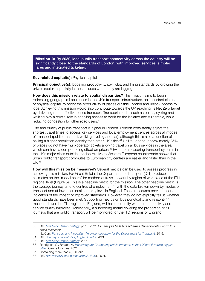<span id="page-21-0"></span>**Mission 3:** By 2030, local public transport connectivity across the country will be significantly closer to the standards of London, with improved services, simpler fares and integrated ticketing.

### **Key related capital(s):** Physical capital

**Principal objective(s):** boosting productivity, pay, jobs, and living standards by growing the private sector, especially in those places where they are lagging

**How does this mission relate to spatial disparities?** This mission aims to begin redressing geographic imbalances in the UK's transport infrastructure, an important element of physical capital, to boost the productivity of places outside London and unlock access to jobs. Achieving this mission would also contribute towards the UK reaching its Net Zero target by delivering more effective public transport. Transport modes such as buses, cycling and walking play a crucial role in enabling access to work for the isolated and vulnerable, while reducing congestion for other road users.<sup>83</sup>

Use and quality of public transport is higher in London. London consistently enjoys the shortest travel times to access key services and local employment centres across all modes of transport (public transport, walking, cycling and car), although this is also a function of it having a higher population density than other UK cities.<sup>84</sup> Unlike London, approximately 25% of places do not have multi-operator tickets allowing travel on all bus services in the area, which can have a compounding effect on prices.<sup>85</sup> Evidence measuring transport systems in the UK's major cities outside London relative to Western European counterparts shows that urban public transport commutes to European city centres are easier and faster than in the  $UK<sup>86</sup>$ 

**How will this mission be measured?** Several metrics can be used to assess progress in achieving this mission. For Great Britain, the Department for Transport (DfT) produces estimates on the "modal share" for method of travel to work by region of workplace at the ITL1 regional level (Figure 5). This is a headline metric for the mission. The other headline metric is the average journey time to centres of employment, $87$  with the data broken down by modes of transport and at lower tier local authority level in England. These measures provide robust indicators of the impact of improved standards. However, they do not explicitly tell us whether good standards have been met. Supporting metrics on bus punctuality and reliability, <sup>88</sup> measured over the ITL1 regions of England, will help to identify whether connectivity and service quality improves. Additionally, a supporting metric covering the proportion of all journeys that are public transport will be monitored for the ITL1 regions of England.

<sup>83</sup> DfT. *[Bus Back Better Strategy](https://assets.publishing.service.gov.uk/government/uploads/system/uploads/attachment_data/file/980227/DfT-Bus-Back-Better-national-bus-strategy-for-England.pdf)*. pg.18. 2021. *DfT analysis fnds bus schemes deliver benefts worth four times their cost*;

NatCen. *[Transport and inequality: An evidence review for the Department for Transport](https://assets.publishing.service.gov.uk/government/uploads/system/uploads/attachment_data/file/953951/Transport_and_inequality_report_document.pdf)*. 2019.

<sup>84</sup> DfT. *[Journey time statistics, England: 2019](https://www.gov.uk/government/statistics/journey-time-statistics-england-2019)*. 2021.

<sup>85</sup> DfT. *[Bus Back Better Strategy](https://assets.publishing.service.gov.uk/government/uploads/system/uploads/attachment_data/file/980227/DfT-Bus-Back-Better-national-bus-strategy-for-England.pdf)*. 2021.

<sup>86</sup> Rodrigues, G., Breach, A. *[Measuring up: Comparing public transport in the UK and Europe's biggest](https://www.centreforcities.org/publication/comparing-public-transport-uk-europe-cities/)  [cities.](https://www.centreforcities.org/publication/comparing-public-transport-uk-europe-cities/)* Centre for cities. 2021.

<sup>87</sup> Containing more than 5,000 jobs.

<sup>88</sup> DfT. *[Bus reliability and punctuality \(BUS09](https://www.gov.uk/government/statistical-data-sets/bus09-frequency-and-waiting-times#table-bus0902)*). 2021.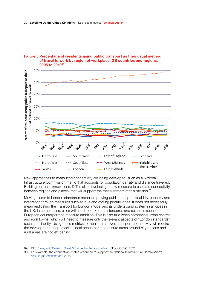

## Figure 5 Percentage of residents using public transport as their usual method of travel to work by region of workplace, GB countries and regions, 2005 to 2010<sup>8</sup>

New approaches to measuring connectivity are being developed, such as a National Infrastructure Commission metric that accounts for population density and distance travelled. Building on these innovations, DfT is also developing a new measure to estimate connectivity between regions and places, that will support the measurement of this mission.<sup>90</sup>

Moving closer to London standards means improving public transport reliability, capacity and integration through measures such as bus and cycling priority lanes. It does not necessarily mean replicating the Transport for London model and its underground system in all cities in the UK. In some cases, cities will need to look to the standards and solutions seen in European counterparts to measure ambition. This is also true when comparing urban centres and rural towns, which will need to measure only the relevant aspects of "London standards" such as reliability. Using these metrics to monitor improved transport connectivity will require the development of appropriate local benchmarks to ensure areas around city regions and rural areas are not left behind.

<sup>89</sup> DfT. *[Transport Statistics Great Britain – Modal comparisons](https://assets.publishing.service.gov.uk/government/uploads/system/uploads/attachment_data/file/1041064/tsgb0109.ods)* (TSGB0109). 2021.

<sup>90</sup> For example: the connectivity metric produced to support the National Infrastructure Commission's *[Rail Needs Assessment](https://nic.org.uk/studies-reports/national-infrastructure-assessment/national-infrastructure-assessment-1/transport-connectivity/)*. 2018.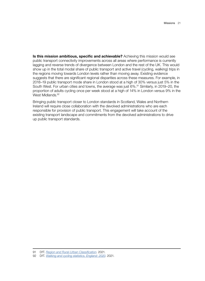**Is this mission ambitious, specific and achievable?** Achieving this mission would see public transport connectivity improvements across all areas where performance is currently lagging and reverse trends of divergence between London and the rest of the UK. This would show up in the total modal share of public transport and active travel (cycling, walking) trips in the regions moving towards London levels rather than moving away. Existing evidence suggests that there are significant regional disparities across these measures. For example, in 2018–19 public transport mode share in London stood at a high of 30% versus just 5% in the South West. For urban cities and towns, the average was just 6%.<sup>91</sup> Similarly, in 2019–20, the proportion of adults cycling once per week stood at a high of 14% in London versus 9% in the West Midlands.<sup>92</sup>

Bringing public transport closer to London standards in Scotland, Wales and Northern Ireland will require close collaboration with the devolved administrations who are each responsible for provision of public transport. This engagement will take account of the existing transport landscape and commitments from the devolved administrations to drive up public transport standards.

<sup>91</sup> DfT. *[Region and Rural-Urban Classifcation](https://www.gov.uk/government/statistical-data-sets/nts99-travel-by-region-and-area-type-of-residence)*. 2021.

<sup>92</sup> DfT. *[Walking and cycling statistics, England: 2020](https://www.gov.uk/government/statistics/walking-and-cycling-statistics-england-2020/walking-and-cycling-statistics-england-2020)*. 2021.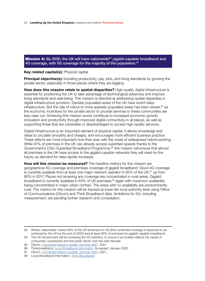<span id="page-24-0"></span>**Mission 4:** By 2030, the UK will have nationwide<sup>93</sup> gigabit-capable broadband and 4G coverage, with 5G coverage for the majority of the population.<sup>94</sup>

## **Key related capital(s):** Physical capital

**Principal objective(s):** boosting productivity, pay, jobs, and living standards by growing the private sector, especially in those places where they are lagging

**How does this mission relate to spatial disparities?** High-quality digital infrastructure is essential for positioning the UK to take advantage of technological advances and improve living standards and well-being. This mission is directed at addressing spatial disparities in digital infrastructure provision. Densely populated areas of the UK have world-class infrastructure. But the rate of rollout to more sparsely populated areas has been slower,  $95$  as the economic incentives for the private sector to provide services to these communities are less clear cut. Achieving this mission would contribute to increased economic growth, innovation and productivity through improved digital connectivity in all places, as well as supporting those that are vulnerable or disadvantaged to access high-quality services.

Digital infrastructure is an important element of physical capital. It allows knowledge and ideas to circulate smoothly and cheaply, and encourages more efficient business practice. These effects are more important now than ever with the onset of widespread hybrid working. While 97% of premises in the UK can already access superfast speeds thanks to the Government's £2bn Superfast Broadband Programme,<sup>96</sup> this mission will ensure that almost all premises in the UK have access to the gigabit-capable networks they will need for the future, as demand for data rapidly increases.

**How will this mission be measured?** The headline metrics for this mission are geographical 4G coverage and premises coverage of gigabit broadband. Good 4G coverage is currently available from at least one major network operator in 92% of the UK, $97$  up from 80% in 2017. Places not receiving any coverage are concentrated in rural areas. Gigabit broadband is currently available in 63% of UK premises,<sup>98</sup> again with maximum availability being concentrated in major urban centres. The areas with no availability are predominantly rural. The metrics for this mission will be tracked at lower tier local authority level using Office of Communications (Ofcom) and Think Broadband data. Ambitions for 5G, including measurement, are pending further research and consultation.

<sup>93</sup> Where 'nationwide' means 95% of the UK landmass for 4G (this combined coverage is expected to be achieved for the UK by the end of 2025) and at least 99% of premises for gigabit-capable broadband.

<sup>94</sup> The UK Government will be reviewing the 5G ambition, to ensure it accurately reflects the needs of consumers, businesses and the public sector over the next decade.

<sup>95</sup> Ofcom. *[Connected Nations update: Summer 2021](https://www.ofcom.org.uk/__data/assets/pdf_file/0013/224212/connected-nations-summer-2021.pdf).* 2021.

<sup>96</sup> Thinkbroadband. *[Local Broadband Information](https://labs2.thinkbroadband.com/local/uk)*. Accessed: January 2022.

<sup>97</sup> Ofcom. *[Connected Nations update: Summer 2021.](https://www.ofcom.org.uk/__data/assets/pdf_file/0013/224212/connected-nations-summer-2021.pdf)* 2021.

<sup>98</sup> Local Broadband Information, *[Think Broadband](https://labs.thinkbroadband.com/local/)*.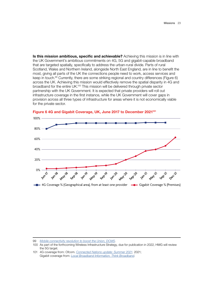**Is this mission ambitious, specific and achievable?** Achieving this mission is in line with the UK Government's ambitious commitments on 4G, 5G and gigabit-capable broadband that are targeted spatially, specifcally to address the urban-rural divide. Parts of rural Scotland, Wales and Northern Ireland, alongside North East England, are in line to beneft the most, giving all parts of the UK the connections people need to work, access services and keep in touch.<sup>99</sup> Currently, there are some striking regional and country differences (Figure 6) across the UK. Achieving this mission would effectively remove the spatial disparity in 4G and broadband for the entire UK.100 This mission will be delivered through private sector partnership with the UK Government. It is expected that private providers will roll out infrastructure coverage in the frst instance, while the UK Government will cover gaps in provision across all three types of infrastructure for areas where it is not economically viable for the private sector.



**Figure 6 4G and Gigabit Coverage, UK, June 2017 to December 2021<sup>101</sup>** 

<sup>99</sup> *[Mobile connectivity revolution to boost the Union, DCMS](https://www.gov.uk/government/news/mobile-connectivity-revolution-to-boost-the-union)*.

<sup>100</sup> As part of the forthcoming Wireless Infrastructure Strategy, due for publication in 2022, HMG will review the 5G target.

<sup>101</sup> 4G coverage from: Ofcom. *[Connected Nations update: Summer 2021](https://www.ofcom.org.uk/__data/assets/pdf_file/0013/224212/connected-nations-summer-2021.pdf).* 2021; Gigabit coverage from: *[Local Broadband Information, Think Broadband](https://labs.thinkbroadband.com/local/)*.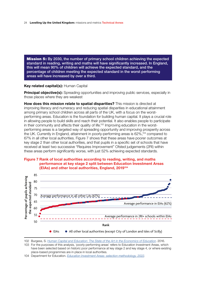<span id="page-26-0"></span>24 **Levelling Up the United Kingdom:** missions and metrics Technical Annex

**Mission 5:** By 2030, the number of primary school children achieving the expected standard in reading, writing and maths will have significantly increased. In England, this will mean 90% of children will achieve the expected standard, and the percentage of children meeting the expected standard in the worst performing areas will have increased by over a third.

## **Key related capital(s):** Human Capital

**Principal objective(s):** Spreading opportunities and improving public services, especially in those places where they are weakest

**How does this mission relate to spatial disparities?** This mission is directed at improving literacy and numeracy and reducing spatial disparities in educational attainment among primary school children across all parts of the UK, with a focus on the worstperforming areas. Education is the foundation for building human capital. It plays a crucial role in allowing people to build skills and reach their potential. It also enables people to participate in their community and affects their quality of life.<sup>102</sup> Improving education in the worstperforming areas is a targeted way of spreading opportunity and improving prosperity across the UK. Currently in England, attainment in poorly-performing areas is 62%,<sup>103</sup> compared to 67% in all other local authorities. Figure 7 shows that these areas have poorer outcomes at key stage 2 than other local authorities, and that pupils in a specifc set of schools that have received at least two successive "Requires Improvement" Ofsted judgements (2RI) within these areas perform signifcantly worse, with just 52% achieving expected standards.

## **Figure 7 Rank of local authorities according to reading, writing, and maths performance at key stage 2 split between Education Investment Areas** performance at key stage 2 split between Education Investment Areas **EXECUTE AND STRIP STATES IN STRIP BETWEEN EXECUTE:**<br> **At ASSEMBLE ASSESS** ENGINEERING CONSUMING A SUBSTITUTE:



102 Burgess, S. *[Human Capital and Education: The State of the Art in the Economics of Education](https://ftp.iza.org/dp9885.pdf)*. 2016.

103 For the purposes of this analysis, 'poorly-performing areas' refers to Education Investment Areas, which have been selected based on historic poor performance at key stage 2 and key stage 4, or where existing place-based programmes are in place in local authorities.

<sup>104</sup> Department for Education. *[Education Investment Areas: selection methodology, 2022](https://www.gov.uk/government/publications/youth-investment-fund-yif-places-selection-methodology/youth-investment-fund-yif-places-selection-methodology)*.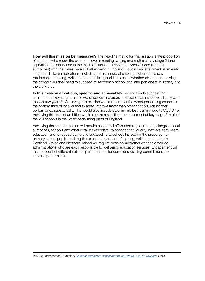**How will this mission be measured?** The headline metric for this mission is the proportion of students who reach the expected level in reading, writing and maths at key stage 2 (and equivalent) nationally and in the third of Education Investment Areas (upper tier local authorities) with the lowest levels of attainment in England. Educational attainment at an early stage has lifelong implications, including the likelihood of entering higher education. Attainment in reading, writing and maths is a good indicator of whether children are gaining the critical skills they need to succeed at secondary school and later participate in society and the workforce.

**Is this mission ambitious, specific and achievable?** Recent trends suggest that attainment at key stage 2 in the worst performing areas in England has increased slightly over the last few years.<sup>105</sup> Achieving this mission would mean that the worst performing schools in the bottom third of local authority areas improve faster than other schools, raising their performance substantially. This would also include catching up lost learning due to COVID-19. Achieving this level of ambition would require a signifcant improvement at key stage 2 in all of the 2RI schools in the worst-performing parts of England.

Achieving the stated ambition will require concerted effort across government, alongside local authorities, schools and other local stakeholders, to boost school quality, improve early years education and to reduce barriers to succeeding at school. Increasing the proportion of primary school pupils reaching the expected standard of reading, writing and maths in Scotland, Wales and Northern Ireland will require close collaboration with the devolved administrations who are each responsible for delivering education services. Engagement will take account of different national performance standards and existing commitments to improve performance.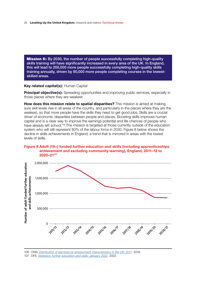<span id="page-28-0"></span>26 **Levelling Up the United Kingdom:** missions and metrics Technical Annex

**Mission 6:** By 2030, the number of people successfully completing high-quality skills training will have significantly increased in every area of the UK. In England, this will lead to 200,000 more people successfully completing high-quality skills training annually, driven by 80,000 more people completing courses in the lowestskilled areas.

## **Key related capital(s):** Human Capital

**Principal objective(s):** Spreading opportunities and improving public services, especially in those places where they are weakest

**How does this mission relate to spatial disparities?** This mission is aimed at making sure skill levels rise in all areas of the country, and particularly in the places where they are the weakest, so that more people have the skills they need to get good jobs. Skills are a crucial driver of economic disparities between people and places. Boosting skills improves human capital and is a clear way to improve the earnings potential and life chances of people who have already left school.<sup>106</sup> The mission is targeted at those currently outside of the education system who will still represent 80% of the labour force in 2030. Figure 8 below shows the decline in skills achievements in England, a trend that is mirrored in areas with the lowest levels of skills.

## **Figure 8 Adult (19+) funded further education and skills (including apprenticeships**  achievement and excluding community learning), England, 2011-12 to  $2020-21^{107}$



106 ONS. *[Distribution of earnings by employment characteristics in the UK: 2017](https://www.ons.gov.uk/employmentandlabourmarket/peopleinwork/earningsandworkinghours/compendium/distributionofukearningsanalyses/2017/distributionofearningsbyemploymentcharacteristicsintheuk2017)*. 2018.

107 DFE. *[Statistics: further education and skills: January 2022](https://explore-education-statistics.service.gov.uk/find-statistics/further-education-and-skills#dataDownloads-1)*. 2022.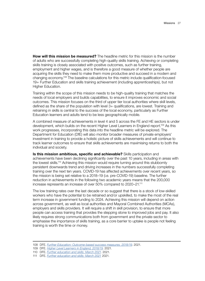**How will this mission be measured?** The headline metric for this mission is the number of adults who are successfully completing high-quality skills training. Achieving or completing skills training is closely associated with positive outcomes, such as further training, employment and higher wages, and is therefore a good measure of whether people are acquiring the skills they need to make them more productive and succeed in a modern and changing economy.<sup>108</sup> The baseline calculations for this metric include qualification-focused 19+ Further Education and skills training achievement (including apprenticeships), but not Higher Education.

Training within the scope of this mission needs to be high-quality training that matches the needs of local employers and builds capabilities, to ensure it improves economic and social outcomes. This mission focuses on the third of upper tier local authorities where skill levels, defned as the share of the population with level 3+ qualifcations, are lowest. Training and retraining in skills is central to the success of the local economy, particularly as Further Education learners and adults tend to be less geographically mobile.

A combined measure of achievements in level 4 and 5 across the FE and HE sectors is under development, which builds on the recent Higher Level Learners in England report.109 As this work progresses, incorporating this data into the headline metric will be explored. The Department for Education (DfE) will also monitor broader measures of private employers' investment in training to provide a holistic picture of skills achievements and will continue to track learner outcomes to ensure that skills achievements are maximising returns to both the individual and society.

**Is this mission ambitious, specifc and achievable?** Skills participation and achievements have been declining significantly over the past 10 years, including in areas with the lowest skills.110 Achieving this mission would require turning around this stubbornly persistent downwards trend and driving increases in the numbers successfully completing training over the next ten years. COVID-19 has affected achievements over recent years, so the mission is being set relative to a 2018–19 (i.e. pre-COVID-19) baseline. The further reduction in achievements in the following two academic years means that the 200,000 increase represents an increase of over 50% compared to 2020–21.111

The low training rates over the last decade or so suggest that there is a stock of low-skilled workers who have the potential to be retrained and/or upskilled, to make the most of the real term increase in government funding to 2024. Achieving this mission will depend on action across government, as well as local authorities and Mayoral Combined Authorities (MCAs), employers and skills providers. It will require a shift in skill provision, to ensure that more people can access training that provides the stepping stone to improved jobs and pay. It also likely requires strong communications both from government and the private sector to emphasise the importance of skills training, as a core barrier to uptake is people not feeling training is worth the time or money.

110 DFE. *[Further education and skills: March 2021](https://www.gov.uk/government/statistics/further-education-and-skills-march-2021)*. 2021.

<sup>108</sup> DFE. *[Further Education: Outcome-based success measures, 2018/19](https://explore-education-statistics.service.gov.uk/find-statistics/further-education-outcome-based-success-measures/2018-19)*. 2021.

<sup>109</sup> DFE. *[Higher Level Learners in England, 2018/19](https://explore-education-statistics.service.gov.uk/find-statistics/higher-level-learners-in-england/2018-19)*. 2021.

<sup>111</sup> DFE. *[Further education and skills: March 2021](https://www.gov.uk/government/statistics/further-education-and-skills-march-2021)* 2021.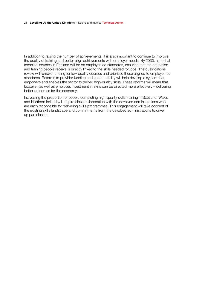#### 28 **Levelling Up the United Kingdom:** missions and metrics Technical Annex

In addition to raising the number of achievements, it is also important to continue to improve the quality of training and better align achievements with employer needs. By 2030, almost all technical courses in England will be on employer-led standards, ensuring that the education and training people receive is directly linked to the skills needed for jobs. The qualifcations review will remove funding for low-quality courses and prioritise those aligned to employer-led standards. Reforms to provider funding and accountability will help develop a system that empowers and enables the sector to deliver high-quality skills. These reforms will mean that taxpayer, as well as employer, investment in skills can be directed more effectively – delivering better outcomes for the economy.

Increasing the proportion of people completing high-quality skills training in Scotland, Wales and Northern Ireland will require close collaboration with the devolved administrations who are each responsible for delivering skills programmes. This engagement will take account of the existing skills landscape and commitments from the devolved administrations to drive up participation.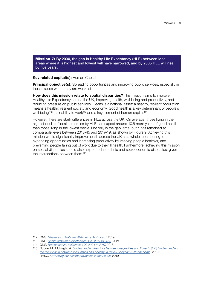<span id="page-31-0"></span>**Mission 7:** By 2030, the gap in Healthy Life Expectancy (HLE) between local areas where it is highest and lowest will have narrowed, and by 2035 HLE will rise by five years.

### **Key related capital(s):** Human Capital

**Principal objective(s):** Spreading opportunities and improving public services, especially in those places where they are weakest

**How does this mission relate to spatial disparities?** This mission aims to improve Healthy Life Expectancy across the UK, improving health, well-being and productivity, and reducing pressure on public services. Health is a national asset: a healthy, resilient population means a healthy, resilient society and economy. Good health is a key determinant of people's well-being,<sup>112</sup> their ability to work<sup>113</sup> and a key element of human capital.<sup>114</sup>

However, there are stark differences in HLE across the UK. On average, those living in the highest decile of local authorities by HLE can expect around 10.6 more years of good health than those living in the lowest decile. Not only is the gap large, but it has remained at comparable levels between 2013–15 and 2017–19, as shown by Figure 9. Achieving this mission would signifcantly improve health across the UK as a whole, contributing to expanding opportunities and increasing productivity by keeping people healthier, and preventing people falling out of work due to their ill health. Furthermore, achieving this mission on spatial disparities should also help to reduce ethnic and socioeconomic disparities, given the intersections between them.115

<sup>112</sup> ONS. *[Measures of National Well-being Dashboard](https://www.ons.gov.uk/peoplepopulationandcommunity/wellbeing/articles/measuresofnationalwellbeingdashboard/2018-04-25)*. 2019.

<sup>113</sup> ONS. *[Health state life expectancies, UK: 2017 to 2019](https://www.ons.gov.uk/peoplepopulationandcommunity/healthandsocialcare/healthandlifeexpectancies/bulletins/healthstatelifeexpectanciesuk/2017to2019)*. 2021.

<sup>114</sup> ONS. *[Human capital estimates, UK: 2004 to 2017](https://www.ons.gov.uk/peoplepopulationandcommunity/wellbeing/articles/humancapitalestimates/2004to2017)*. 2018.

<sup>115</sup> Duque, M., Mcknight, A. *[Understanding the Links between Inequalities and Poverty \(LIP\) Understanding](http://eprints.lse.ac.uk/103457/1/CASEpaper217.pdf)  [the relationship between inequalities and poverty: a review of dynamic mechanisms](http://eprints.lse.ac.uk/103457/1/CASEpaper217.pdf)*. 2019; DHSC. *[Advancing our health: prevention in the 2020s](https://assets.publishing.service.gov.uk/government/uploads/system/uploads/attachment_data/file/819766/advancing-our-health-prevention-in-the-2020s-accessible.pdf)*. 2019.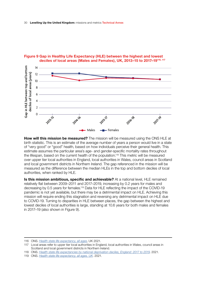

## Figure 9 Gap in Healthy Life Expectancy (HLE) between the highest and lowest deciles of local areas (Males and Females), UK, 2013-15 to 2017-19<sup>116, 117</sup>

**How will this mission be measured?** The mission will be measured using the ONS HLE at birth statistic. This is an estimate of the average number of years a person would live in a state of "very good" or "good" health, based on how individuals perceive their general health. This estimate assumes the particular area's age- and gender-specifc mortality rates throughout the lifespan, based on the current health of the population.<sup>118</sup> This metric will be measured over upper tier local authorities in England, local authorities in Wales, council areas in Scotland and local government districts in Northern Ireland. The gap referenced in the mission will be measured as the difference between the median HLEs in the top and bottom deciles of local authorities, when ranked by HLE.

**Is this mission ambitious, specific and achievable?** At a national level, HLE remained relatively fat between 2009–2011 and 2017–2019, increasing by 0.2 years for males and decreasing by 0.5 years for females.<sup>119</sup> Data for HLE reflecting the impact of the COVID-19 pandemic is not yet available, but there may be a detrimental impact on HLE. Achieving this mission will require ending this stagnation and reversing any detrimental impact on HLE due to COVID-19. Turning to disparities in HLE between places, the gap between the highest and lowest deciles of local authorities is large, standing at 10.6 years for both males and females in 2017–19 (also shown in Figure 9).

118 ONS. *[Health state life expectancies by national deprivation deciles, England: 2017 to 2019](https://www.ons.gov.uk/peoplepopulationandcommunity/healthandsocialcare/healthinequalities/bulletins/healthstatelifeexpectanciesbyindexofmultipledeprivationimd/latest#glossary)*. 2021.

<sup>116</sup> ONS. *[Health state life expectancy, all ages](https://www.ons.gov.uk/peoplepopulationandcommunity/healthandsocialcare/healthandlifeexpectancies/datasets/healthstatelifeexpectancyallagesuk)*, UK 2021.

<sup>117</sup> Local areas refer to upper tier local authorities in England, local authorities in Wales, council areas in Scotland and local government districts in Northern Ireland.

<sup>119</sup> ONS. *[Health state life expectancy, all ages, UK](https://www.ons.gov.uk/peoplepopulationandcommunity/healthandsocialcare/healthandlifeexpectancies)*. 2021.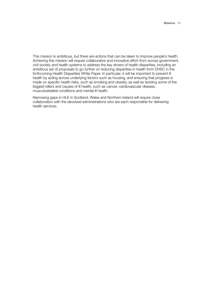This mission is ambitious, but there are actions that can be taken to improve people's health. Achieving this mission will require collaborative and innovative effort from across government, civil society and health systems to address the key drivers of health disparities, including an ambitious set of proposals to go further on reducing disparities in health from DHSC in the forthcoming Health Disparities White Paper. In particular, it will be important to prevent ill health by acting across underlying factors such as housing, and ensuring that progress is made on specifc health risks, such as smoking and obesity, as well as tackling some of the biggest killers and causes of ill health, such as cancer, cardiovascular disease, musculoskeletal conditions and mental ill health.

Narrowing gaps in HLE in Scotland, Wales and Northern Ireland will require close collaboration with the devolved administrations who are each responsible for delivering health services.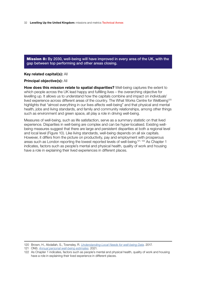<span id="page-34-0"></span>Mission 8: By 2030, well-being will have improved in every area of the UK, with the gap between top performing and other areas closing.

## **Key related capital(s):** All

**Principal objective(s):** All

**How does this mission relate to spatial disparities?** Well-being captures the extent to which people across the UK lead happy and fulflling lives – the overarching objective for levelling up. It allows us to understand how the capitals combine and impact on individuals' lived experience across different areas of the country. The What Works Centre for Wellbeing<sup>120</sup> highlights that "almost everything in our lives affects well-being" and that physical and mental health, jobs and living standards, and family and community relationships, among other things such as environment and green space, all play a role in driving well-being.

Measures of well-being, such as life satisfaction, serve as a summary statistic on that lived experience. Disparities in well-being are complex and can be hyper-localised. Existing wellbeing measures suggest that there are large and persistent disparities at both a regional level and local level (Figure 10). Like living standards, well-being depends on all six capitals. However, it differs from the picture on productivity, pay and employment with prosperous areas such as London reporting the lowest reported levels of well-being.<sup>121, 122</sup> As Chapter 1 indicates, factors such as people's mental and physical health, quality of work and housing have a role in explaining their lived experiences in different places.

<sup>120</sup> Brown, H., Abdallah, S., Townsley, R. *[Understanding Local Needs for well-being Data](https://whatworkswellbeing.org/resources/understanding-local-needs-for-wellbeing-data/)*. 2017.

<sup>121</sup> ONS. *[Annual personal well-being estimates](https://www.ons.gov.uk/peoplepopulationandcommunity/wellbeing/datasets/headlineestimatesofpersonalwellbeing)*. 2021.

<sup>122</sup> As Chapter 1 indicates, factors such as people's mental and physical health, quality of work and housing have a role in explaining their lived experience in different places.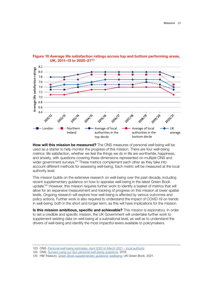

## **Figure 10 Average life satisfaction ratings across top and bottom performing areas, UK, 2011-12 to 2020-21<sup>123</sup>**

**How will this mission be measured?** The ONS measures of personal well-being will be used as a starter to help monitor the progress of this mission. There are four well-being metrics: life satisfaction, whether we feel the things we do in life are worthwhile, happiness, and anxiety, with questions covering these dimensions represented on multiple ONS and wider government surveys.<sup>124</sup> These metrics complement each other as they take into account different methods for assessing well-being. Each metric will be measured at the local authority level.

This mission builds on the extensive research on well-being over the past decade, including recent supplementary guidance on how to appraise well-being in the latest Green Book update.125 However, this mission requires further work to identify a basket of metrics that will allow for an expansive measurement and tracking of progress on this mission at lower spatial levels. Ongoing research will explore how well-being is affected by various outcomes and policy actions. Further work is also required to understand the impact of COVID-19 on trends in well-being, both in the short and longer term, as this will have implications for the mission.

**Is this mission ambitious, specific and achievable?** This mission is exploratory. In order to set a credible and specifc mission, the UK Government will undertake further work to supplement existing data on well-being at a subnational level, as well as to understand the drivers of well-being and identify the most impactful levers available to policymakers.

<sup>123</sup> ONS. *[Personal well-being estimates, April 2020 to March 2021 – local authority](https://www.ons.gov.uk/peoplepopulationandcommunity/wellbeing/datasets/headlineestimatesofpersonalwellbeing)*

<sup>124</sup> ONS. *[Surveys using our four personal well-being questions](https://www.ons.gov.uk/peoplepopulationandcommunity/wellbeing/methodologies/surveysusingthe4officefornationalstatisticspersonalwellbeingquestions)*. 2018.

<sup>125</sup> HM Treasury. *[Green Book supplementary guidance: wellbeing](https://www.gov.uk/government/publications/green-book-supplementary-guidance-wellbeing)*. UK Green Book. 2021.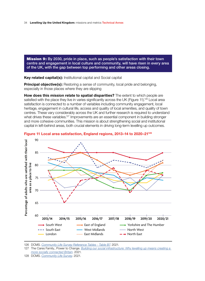<span id="page-36-0"></span>Mission 9: By 2030, pride in place, such as people's satisfaction with their town centre and engagement in local culture and community, will have risen in every area of the UK, with the gap between top performing and other areas closing.

**Key related capital(s):** Institutional capital and Social capital

**Principal objective(s):** Restoring a sense of community, local pride and belonging, especially in those places where they are slipping

**How does this mission relate to spatial disparities?** The extent to which people are satisfied with the place they live in varies significantly across the UK (Figure 11).<sup>126</sup> Local area satisfaction is connected to a number of variables including community engagement, local heritage, engagement in cultural life, access and quality of local amenities, and quality of town centres. These vary considerably across the UK and further research is required to understand what drives these variables.<sup>127</sup> Improvements are an essential component in building stronger and more cohesive communities. This mission is about strengthening social and institutional capital in left-behind areas, both crucial elements in driving long-term levelling up outcomes.



**Figure 11 Local area satisfaction, England regions, 2013-14 to 2020-21<sup>128</sup>** 

<sup>126</sup> DCMS. *[Community Life Survey Reference Tables - Table B7](https://www.gov.uk/government/statistics/community-life-survey-202021)*. 2021.

<sup>127</sup> The Cares Family., Power to Change. *[Building our social infrastructure: Why levelling up means creating a](https://files.thecaresfamily.org.uk/thecaresfamily/images/Building-our-social-infrastructure.pdf)  [more socially connected Britain](https://files.thecaresfamily.org.uk/thecaresfamily/images/Building-our-social-infrastructure.pdf)*. 2021.

<sup>128</sup> DCMS. *[Community Life Survey](https://www.gov.uk/government/collections/community-life-survey--2)*. 2021.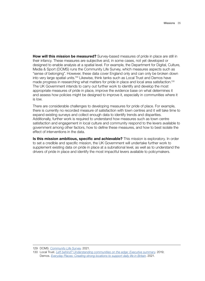**How will this mission be measured?** Survey-based measures of pride in place are still in their infancy. These measures are subjective and, in some cases, not yet developed or designed to enable analysis at a spatial level. For example, the Department for Digital, Culture, Media & Sport (DCMS) runs the Community Life Survey, which measures aspects such as "sense of belonging". However, these data cover England only and can only be broken down into very large spatial units.<sup>129</sup> Likewise, think tanks such as Local Trust and Demos have made progress in researching what matters for pride in place and local area satisfaction.<sup>130</sup> The UK Government intends to carry out further work to identify and develop the most appropriate measures of pride in place, improve the evidence base on what determines it and assess how policies might be designed to improve it, especially in communities where it is low.

There are considerable challenges to developing measures for pride of place. For example, there is currently no recorded measure of satisfaction with town centres and it will take time to expand existing surveys and collect enough data to identify trends and disparities. Additionally, further work is required to understand how measures such as town centre satisfaction and engagement in local culture and community respond to the levers available to government among other factors, how to defne these measures, and how to best isolate the effect of interventions in the data.

**Is this mission ambitious, specific and achievable?** This mission is exploratory. In order to set a credible and specifc mission, the UK Government will undertake further work to supplement existing data on pride in place at a subnational level, as well as to understand the drivers of pride in place and identify the most impactful levers available to policymakers.

<sup>129</sup> DCMS. *[Community Life Survey](https://www.gov.uk/government/statistics/community-life-survey-202021)*. 2021.

<sup>130</sup> Local Trust. *[Left behind? Understanding communities on the edge: Executive summary](https://localtrust.org.uk/wp-content/uploads/2019/09/Local-Trust-Left-Behind-Report-Executive-Summary-December-2019.pdf)*. 2019; Demos. *[Everyday Places: Creating strong locations to support daily life in Britain](https://demos.co.uk/project/everyday-places-creating-strong-locations-to-support-daily-life-in-britain/)*. 2021.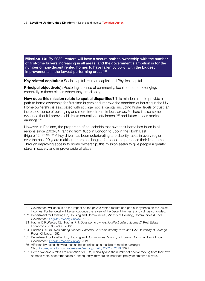<span id="page-38-0"></span>**Mission 10:** By 2030, renters will have a secure path to ownership with the number of first-time buyers increasing in all areas; and the government's ambition is for the number of non-decent rented homes to have fallen by 50%, with the biggest improvements in the lowest-performing areas.**<sup>131</sup>**

**Key related capital(s):** Social capital, Human capital and Physical capital

**Principal objective(s):** Restoring a sense of community, local pride and belonging, especially in those places where they are slipping

**How does this mission relate to spatial disparities?** This mission aims to provide a path to home ownership for first-time buyers and improve the standard of housing in the UK. Home ownership is associated with stronger social capital, including higher levels of trust, an increased sense of belonging and more investment in local areas.132 There is also some evidence that it improves children's educational attainment,<sup>133</sup> and future labour market earnings.134

However, in England, the proportion of households that own their home has fallen in all regions since 2003-04, ranging from 10pp in London to 5pp in the North East (Figure 12).135, 136, 137 A key driver has been deteriorating affordability ratios in every region over the past 20 years making it more challenging for people to purchase their first home. Through improving access to home ownership, this mission seeks to give people a greater stake in society and improve pride of place.

<sup>131</sup> Government will consult on the impact on the private rented market and particularly those on the lowest incomes. Further detail will be set out once the review of the Decent Homes Standard has concluded.

<sup>132</sup> Department for Levelling Up, Housing and Communities., Ministry of Housing, Communities & Local Government. *[English Housing Survey](https://assets.publishing.service.gov.uk/government/uploads/system/uploads/attachment_data/file/817438/EHS_2017-18_Neighbourhoods_Report.pdf)*. 2019.

<sup>133</sup> Haurin, D.R.,Parcel, T.L., Haurin, R.J. *Does home ownership affect child outcomes?*. Real Estate Economics 30 635–666. 2002.

<sup>134</sup> Fischer, C.S. *To Dwell among Friends: Personal Networks among Town and City*. University of Chicago Press, Chicago. 1982.

<sup>135</sup> Department for Levelling Up, Housing and Communities. Ministry of Housing, Communities & Local Government. *[English Housing Survey](https://www.gov.uk/government/collections/english-housing-survey)*. 2021.

<sup>136</sup> Affordability ratios showing median house prices as a multiple of median earnings: ONS. *[House price to workplace-based earnings ratio, 2002 to 2020](https://www.ons.gov.uk/peoplepopulationandcommunity/housing/datasets/ratioofhousepricetoworkplacebasedearningslowerquartileandmedian)*. 2021.

<sup>137</sup> Home ownership rates are a function of FTBs, mortality and the number of people moving from their own home to rental accommodation. Consequently, they are an imperfect proxy for frst time buyers.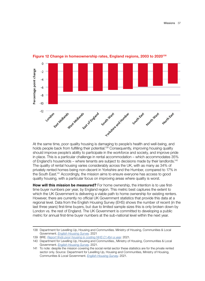

**Figure 12 Change in homeownership rates, England regions, 2003 to 2020<sup>138</sup>** 

At the same time, poor quality housing is damaging to people's health and well-being, and holds people back from fulfilling their potential.<sup>139</sup> Consequently, improving housing quality should improve people's ability to participate in the workforce and society, and improve pride in place. This is a particular challenge in rental accommodation – which accommodates 35% of England's households – where tenants are subject to decisions made by their landlords.<sup>140</sup> The quality of rental housing varies considerably across the UK, with as many as 34% of privately rented homes being non-decent in Yorkshire and the Humber, compared to 17% in the South East.141 Accordingly, the mission aims to ensure everyone has access to good quality housing, with a particular focus on improving areas where quality is worst.

**How will this mission be measured?** For home ownership, the intention is to use frsttime buyer numbers per year, by England region. This metric best captures the extent to which the UK Government is delivering a viable path to home ownership for existing renters. However, there are currently no official UK Government statistics that provide this data at a regional level. Data from the English Housing Survey (EHS) shows the number of recent (in the last three years) first-time buyers, but due to limited sample sizes this is only broken down by London vs. the rest of England. The UK Government is committed to developing a public metric for annual frst-time buyer numbers at the sub-national level within the next year.

<sup>138</sup> Department for Levelling Up, Housing and Communities. Ministry of Housing, Communities & Local Government. *[English Housing Survey](https://www.gov.uk/government/collections/english-housing-survey)*. 2021

<sup>139</sup> BRE. *[Report fnds poor housing is costing NHS £1.4bn a year](https://www.bregroup.com/press-releases/bre-report-finds-poor-housing-is-costing-nhs-1-4bn-a-year/?cn-reloaded=1)*. 2021.

<sup>140</sup> Department for Levelling Up, Housing and Communities., Ministry of Housing, Communities & Local Government. *[English Housing Survey](https://www.gov.uk/government/collections/english-housing-survey)*. 2021.

<sup>141</sup> To note: despite the mission covering the social rental sector these statistics are for the private rented sector only. Source: Department for Levelling Up, Housing and Communities, Ministry of Housing, Communities & Local Government. *[English Housing Survey](https://www.gov.uk/government/collections/english-housing-survey)*. 2021.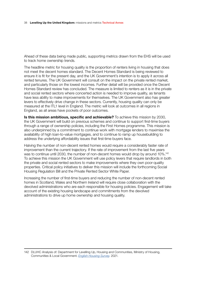Ahead of these data being made public, supporting metrics drawn from the EHS will be used to track home ownership trends.

The headline metric for housing quality is the proportion of renters living in housing that does not meet the decent homes standard. The Decent Homes Standard is being reviewed to ensure it is ft for the present day, and the UK Government's intention is to apply it across all rented tenures. The UK Government will consult on the impact on the private rented market, and particularly those on the lowest incomes. Further detail will be provided once the Decent Homes Standard review has concluded. The measure is limited to renters as it is in the private and social rented sectors where concerted action is needed to improve quality, as tenants have less ability to make improvements for themselves. The UK Government also has greater levers to effectively drive change in these sectors. Currently, housing quality can only be measured at the ITL1 level in England. The metric will look at outcomes in all regions in England, as all areas have pockets of poor outcomes.

**Is this mission ambitious, specific and achievable?** To achieve this mission by 2030, the UK Government will build on previous schemes and continue to support frst-time buyers through a range of ownership policies, including the First Homes programme. This mission is also underpinned by a commitment to continue work with mortgage lenders to maximise the availability of high loan-to-value mortgages, and to continue to ramp up housebuilding to address the underlying affordability issues that first-time buyers face.

Halving the number of non-decent rented homes would require a considerably faster rate of improvement than the current trajectory. If the rate of improvement from the last five years was to continue until 2030, the number of non-decent homes would drop by around 10%.<sup>142</sup> To achieve this mission the UK Government will use policy levers that require landlords in both the private and social rented sectors to make improvements where they own poor-quality properties. Critical policy initiatives to deliver this mission will include the forthcoming Social Housing Regulation Bill and the Private Rented Sector White Paper.

Increasing the number of frst-time buyers and reducing the number of non-decent rented homes in Scotland, Wales and Northern Ireland will require close collaboration with the devolved administrations who are each responsible for housing policies. Engagement will take account of the existing housing landscape and commitments from the devolved administrations to drive up home ownership and housing quality.

<sup>142</sup> DLUHC Analysis of: Department for Levelling Up, Housing and Communities, Ministry of Housing, Communities & Local Government. *[English Housing Survey](https://www.gov.uk/government/collections/english-housing-survey)*. 2021.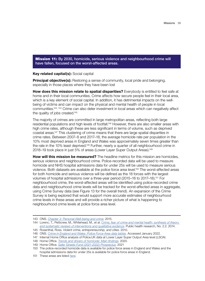<span id="page-41-0"></span>**Mission 11:** By 2030, homicide, serious violence and neighbourhood crime will have fallen, focused on the worst-affected areas.

#### **Key related capital(s):** Social capital

**Principal objective(s):** Restoring a sense of community, local pride and belonging, especially in those places where they have been lost

**How does this mission relate to spatial disparities?** Everybody is entitled to feel safe at home and in their local communities. Crime affects how secure people feel in their local area, which is a key element of social capital. In addition, it has detrimental impacts on the wellbeing of victims and can impact on the physical and mental health of people in local communities.143, 144 Crime can also deter investment in local areas which can negatively affect the quality of jobs created.<sup>145</sup>

The majority of crimes are committed in large metropolitan areas, refecting both large residential populations and high levels of footfall.<sup>146</sup> However, there are also smaller areas with high crime rates, although these are less significant in terms of volume, such as deprived coastal areas.147 This clustering of crime means that there are large spatial disparities in crime rates. Between 2007–8 and 2017–18, the average homicide rate per population in the 10% most deprived areas in England and Wales was approximately seven times greater than the rate in the 10% least deprived.<sup>148</sup> Further, nearly a quarter of all neighbourhood crime in 2018–19 took place in just 5% of areas (Lower Layer Super Output Areas).<sup>149</sup>

**How will this mission be measured?** The headline metrics for this mission are homicides, serious violence and neighbourhood crime. Police-recorded data will be used to measure homicide and NHS hospital admissions data for under 25s will be used to measure serious violence. Both datasets are available at the police force area level.150 The worst-affected areas for both homicide and serious violence will be defned as the 18 forces with the largest volumes of hospital admissions over a three-year period (2015–16 to 2017–18).151 For neighbourhood crime, the worst-affected areas will be identifed using police-recorded crime data and neighbourhood crime levels will be tracked for the worst-affected areas in aggregate, using Crime Survey data (see Figure 13 for the overall trend). An expansion of the Crime Survey is being explored that would support more accurate estimates of neighbourhood crime levels in these areas and will provide a richer picture of what is happening to neighbourhood crime levels at police force area level.

- 147 Internal Home Office analysis of Police.UK data at Lower Layer Super Output Area level (LSOA)
- 148 Home Office. *Trends and drivers of homicide: Main findings*. 2020.
- 149 Home Office. *[Safer Streets Fund \(2021-2022\) Prospectus](https://assets.publishing.service.gov.uk/government/uploads/system/uploads/attachment_data/file/957227/SSF_R2_Prospectus_FINAL.pdf)*. 2021

<sup>143</sup> ONS. *[Chapter 3: Personal Well-being and crime](https://www.ons.gov.uk/peoplepopulationandcommunity/crimeandjustice/compendium/crimestatisticsfocusonpublicperceptionsofcrimeandthepoliceandthepersonalwellbeingofvictims/2015-03-26/chapter3personalwellbeingandcrime)*. 2015.

<sup>144</sup> Lorenc, T., Petticrew, M., Whitehead, M., et al. *[Crime, fear of crime and mental health: synthesis of theory](https://www.ncbi.nlm.nih.gov/books/NBK262831/)  [and systematic reviews of interventions and qualitative evidence](https://www.ncbi.nlm.nih.gov/books/NBK262831/)*. Public health research, No. 2.2. 2014.

<sup>145</sup> Rosenthal, Ross. *Violent crime, entrepreneurship, and cities*. 2010.

<sup>146</sup> ONS. *[Crime in England and Wales: Police Force Area data tables](https://www.ons.gov.uk/peoplepopulationandcommunity/crimeandjustice/datasets/policeforceareadatatables)*. Accessed January 2022.

<sup>150</sup> The police-recorded homicide data is available for police force areas in England and Wales and the hospital admissions data for under 25s is available for police force areas in England.

<sup>151</sup> These areas are listed *[here](https://www.gov.uk/government/news/355m-to-support-young-people-at-risk-of-involvement-in-serious-violence)*.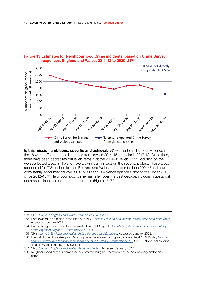

## Figure 13 Estimates for Neighbourhood Crime incidents, based on Crime Survey responses, England and Wales, 2011-12 to 2020-21<sup>152</sup>

**Is this mission ambitious, specific and achievable?** Homicide and serious violence in the 18 worst-affected areas both rose from lows in 2014–15 to peaks in 2017–18. Since then, there have been decreases but levels remain above 2014-15 levels.<sup>153, 154</sup> Focusing on the worst-affected areas is likely to have a significant impact on the national picture. These areas accounted for 70% of homicide in England and Wales in the year to June 2021<sup>155</sup> and have consistently accounted for over 80% of all serious violence episodes among the under-25s since 2012–13.<sup>156</sup> Neighbourhood crime has fallen over the past decade, including substantial decreases since the onset of the pandemic (Figure 13).<sup>157, 158</sup>

<sup>152</sup> ONS. *[Crime in England and Wales: year ending June 2021](https://www.ons.gov.uk/peoplepopulationandcommunity/crimeandjustice/bulletins/crimeinenglandandwales/yearendingjune2021)*.

<sup>153</sup> Data relating to homicide is available at: ONS. *[Crime in England and Wales: Police Force Area data tables](https://www.ons.gov.uk/peoplepopulationandcommunity/crimeandjustice/datasets/policeforceareadatatables)*. Accessed January 2022.

<sup>154</sup> Data relating to serious violence is available at: NHS Digital. *[Monthly hospital admissions for assault by](https://digital.nhs.uk/supplementary-information/2021/monthly-hospital-admissions-for-assault-by-sharp-object-september-2021)  [sharp object in England – September 2021](https://digital.nhs.uk/supplementary-information/2021/monthly-hospital-admissions-for-assault-by-sharp-object-september-2021)*. 2021.

<sup>155</sup> ONS, *[Crime in England and Wales: Police Force Area data tables](https://www.ons.gov.uk/peoplepopulationandcommunity/crimeandjustice/datasets/policeforceareadatatables)*. Accessed January 2022.

<sup>156</sup> Internal Home Office Analysis. Data for police force areas in England is available at NHS Digital, *Monthly [hospital admissions for assault by sharp object in England - September 2021](https://digital.nhs.uk/supplementary-information/2021/monthly-hospital-admissions-for-assault-by-sharp-object-september-2021)*. 2021. Data for police force areas in Wales is not publicly available.

<sup>157</sup> ONS. *[Crime in England and Wales: Appendix tables](https://www.ons.gov.uk/peoplepopulationandcommunity/crimeandjustice/datasets/crimeinenglandandwalesappendixtables)*. Accessed January 2022.

<sup>158</sup> Neighbourhood crime is comprised of domestic burglary, theft from the person, robbery and vehicle crime.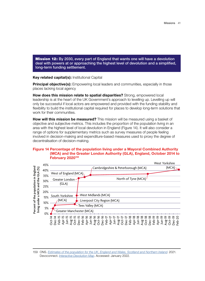<span id="page-43-0"></span>**Mission 12:** By 2030, every part of England that wants one will have a devolution deal with powers at or approaching the highest level of devolution and a simplifed, long-term funding settlement.

**Key related capital(s):** Institutional Capital

**Principal objective(s):** Empowering local leaders and communities, especially in those places lacking local agency

**How does this mission relate to spatial disparities?** Strong, empowered local leadership is at the heart of the UK Government's approach to levelling up. Levelling up will only be successful if local actors are empowered and provided with the funding stability and fexibility to build the institutional capital required for places to develop long-term solutions that work for their communities.

**How will this mission be measured?** This mission will be measured using a basket of objective and subjective metrics. This includes the proportion of the population living in an area with the highest level of local devolution in England (Figure 14). It will also consider a range of options for supplementary metrics such as survey measures of people feeling involved in decision-making and expenditure-based measures used to proxy the degree of decentralisation of decision-making.

## **Figure 14 Percentage of the population living under a Mayoral Combined Authority (MCA) and the Greater London Authority (GLA), England, October 2014 to February 2020<sup>159</sup>**



<sup>159</sup> ONS. *[Estimates of the population for the UK, England and Wales, Scotland and Northern Ireland](https://www.ons.gov.uk/peoplepopulationandcommunity/populationandmigration/populationestimates/datasets/populationestimatesforukenglandandwalesscotlandandnorthernireland)*. 2021. Devoconnect. *[Interactive Devolution Map](https://devoconnect.co.uk/devolution-map/)*. Accessed: January 2022.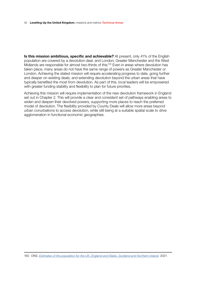#### 42 **Levelling Up the United Kingdom:** missions and metrics Technical Annex

**Is this mission ambitious, specific and achievable?** At present, only 41% of the English population are covered by a devolution deal, and London, Greater Manchester and the West Midlands are responsible for almost two-thirds of this.<sup>160</sup> Even in areas where devolution has taken place, many areas do not have the same range of powers as Greater Manchester or London. Achieving the stated mission will require accelerating progress to date, going further and deeper on existing deals, and extending devolution beyond the urban areas that have typically benefted the most from devolution. As part of this, local leaders will be empowered with greater funding stability and flexibility to plan for future priorities.

Achieving this mission will require implementation of the new devolution framework in England set out in Chapter 2. This will provide a clear and consistent set of pathways enabling areas to widen and deepen their devolved powers, supporting more places to reach the preferred model of devolution. The fexibility provided by County Deals will allow more areas beyond urban conurbations to access devolution, while still being at a suitable spatial scale to drive agglomeration in functional economic geographies.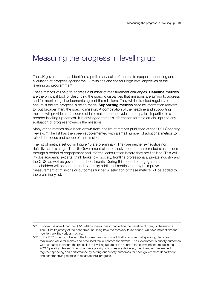# <span id="page-45-0"></span>Measuring the progress in levelling up

The UK government has identifed a preliminary suite of metrics to support monitoring and evaluation of progress against the 12 missions and the four high-level objectives of the levelling up programme.161

These metrics will help to address a number of measurement challenges. **Headline metrics** are the principal tool for describing the specifc disparities that missions are aiming to address and for monitoring developments against the missions. They will be tracked regularly to ensure suffcient progress is being made. **Supporting metrics** capture information relevant to, but broader than, the specifc mission. A combination of the headline and supporting metrics will provide a rich source of information on the evolution of spatial disparities in a broader levelling up context. It is envisaged that this information forms a crucial input to any evaluation of progress towards the missions.

Many of the metrics have been drawn from the list of metrics published at the 2021 Spending Review.<sup>162</sup> The list has then been supplemented with a small number of additional metrics to reflect the focus and scope of the missions.

The list of metrics set out in Figure 15 are preliminary. They are neither exhaustive nor defnitive at this stage. The UK Government plans to seek inputs from interested stakeholders through a period of engagement and informal consultation before they are fnalised. This will involve academic experts, think tanks, civil society, frontline professionals, private industry and the ONS, as well as government departments. During this period of engagement, stakeholders will be encouraged to identify additional metrics that might improve measurement of missions or outcomes further. A selection of these metrics will be added to the preliminary list.

<sup>161</sup> It should be noted that the COVID-19 pandemic has impacted on the baseline of many of the metrics. The future trajectory of the pandemic, including how the recovery takes shape, will have implications for how to track the various metrics.

<sup>162</sup> In the 2021 Spending Review, the Government committed itself to ensure that spending decisions maximised value for money and produced real outcomes for citizens. The Government's priority outcomes were updated to ensure the principles of levelling up are at the heart of the commitments made in the 2021 Spending Review. To ensure these priority outcomes are delivered, the Spending Review tied together spending and performance by setting out priority outcomes for each government department and accompanying metrics to measure their progress.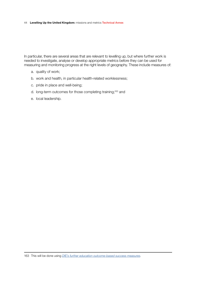44 **Levelling Up the United Kingdom:** missions and metrics Technical Annex

In particular, there are several areas that are relevant to levelling up, but where further work is needed to investigate, analyse or develop appropriate metrics before they can be used for measuring and monitoring progress at the right levels of geography. These include measures of:

- a. quality of work;
- b. work and health, in particular health-related worklessness;
- c. pride in place and well-being;
- d. long-term outcomes for those completing training;163 and
- e. local leadership.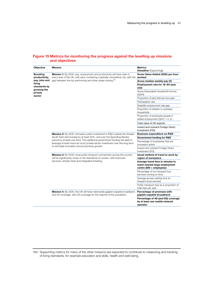## **Figure 15 Metrics for monitoring the progress against the levelling up missions and objectives**

| <b>Objective</b>                                                                                                | <b>Mission</b>                                                                                                                                                                                                    | <b>Metrics</b><br>(Headline/Supporting)                                                         |
|-----------------------------------------------------------------------------------------------------------------|-------------------------------------------------------------------------------------------------------------------------------------------------------------------------------------------------------------------|-------------------------------------------------------------------------------------------------|
| <b>Boosting</b><br>productivity,<br>pay, jobs and<br>living<br>standards by<br>growing the<br>private<br>sector | Mission 1: By 2030, pay, employment and productivity will have risen in<br>every area of the UK, with each containing a globally competitive city, with the                                                       | Gross Value Added (GVA) per hour<br>worked                                                      |
|                                                                                                                 | gap between the top performing and other areas closing. <sup>164</sup>                                                                                                                                            | Gross median weekly pay (£)                                                                     |
|                                                                                                                 |                                                                                                                                                                                                                   | Employment rate for 16-64-year<br>olds                                                          |
|                                                                                                                 |                                                                                                                                                                                                                   | Gross Disposable Household Income<br>(GDHI)                                                     |
|                                                                                                                 |                                                                                                                                                                                                                   | Proportion of jobs that are low paid                                                            |
|                                                                                                                 |                                                                                                                                                                                                                   | Participation rate                                                                              |
|                                                                                                                 |                                                                                                                                                                                                                   | Disability employment rate gap                                                                  |
|                                                                                                                 |                                                                                                                                                                                                                   | Proportion of children in workless<br>households                                                |
|                                                                                                                 |                                                                                                                                                                                                                   | Proportion of employed people in<br>skilled employment (SOC 1-3, 5)                             |
|                                                                                                                 |                                                                                                                                                                                                                   | Total value of UK exports                                                                       |
|                                                                                                                 |                                                                                                                                                                                                                   | Inward and outward Foreign Direct<br>Investment (FDI)                                           |
|                                                                                                                 | Mission 2: By 2030, domestic public investment in R&D outside the Greater                                                                                                                                         | <b>Business expenditure on R&amp;D</b>                                                          |
|                                                                                                                 | South East will increase by at least 40%, and over the Spending Review                                                                                                                                            | <b>Government funding for R&amp;D</b>                                                           |
|                                                                                                                 | period by at least one third. This additional government funding will seek to<br>leverage at least twice as much private sector investment over the long term<br>to stimulate innovation and productivity growth. | Percentage of businesses that are<br>innovation active                                          |
|                                                                                                                 |                                                                                                                                                                                                                   | Inward and outward Foreign Direct<br>Investment (FDI)                                           |
|                                                                                                                 | Mission 3: By 2030, local public transport connectivity across the country<br>will be significantly closer to the standards of London, with improved<br>services, simpler fares and integrated ticketing.         | Usual method of travel to work by<br>region of workplace                                        |
|                                                                                                                 |                                                                                                                                                                                                                   | Average travel time in minutes to<br>reach nearest large employment<br>centre (500 + employees) |
|                                                                                                                 |                                                                                                                                                                                                                   | Percentage of non-frequent bus<br>services running on time                                      |
|                                                                                                                 |                                                                                                                                                                                                                   | Average excess waiting time for<br>frequent (bus) services                                      |
|                                                                                                                 |                                                                                                                                                                                                                   | Public transport trips as a proportion of<br>total trips per year                               |
|                                                                                                                 | Mission 4: By 2030, the UK will have nationwide gigabit-capable broadband<br>and 4G coverage, with 5G coverage for the majority of the population.                                                                | Percentage of premises with<br>gigabit-capable broadband                                        |
|                                                                                                                 |                                                                                                                                                                                                                   | Percentage of 4G (and 5G) coverage<br>by at least one mobile network<br>operator                |

164 Supporting metrics for many of the other missions are expected to contribute to measuring and tracking of living standards, for example education and skills, health and well-being.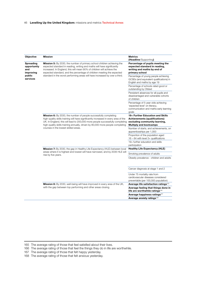#### 46 **Levelling Up the United Kingdom:** missions and metrics Technical Annex

| <b>Objective</b>                                                                                                                         | <b>Mission</b>                                                                                                                                                                                                                                                                                                                                                                               | <b>Metrics</b><br>(Headline/Supporting)                                                                                                    |
|------------------------------------------------------------------------------------------------------------------------------------------|----------------------------------------------------------------------------------------------------------------------------------------------------------------------------------------------------------------------------------------------------------------------------------------------------------------------------------------------------------------------------------------------|--------------------------------------------------------------------------------------------------------------------------------------------|
| <b>Spreading</b><br>opportunity<br>and<br>improving<br>public<br>services<br>courses in the lowest skilled areas.<br>rise by five years. | <b>Mission 5:</b> By 2030, the number of primary school children achieving the<br>expected standard in reading, writing and maths will have significantly<br>increased. In England, this will mean 90% of children will achieve the<br>expected standard, and the percentage of children meeting the expected<br>standard in the worst performing areas will have increased by over a third. | Percentage of pupils meeting the<br>expected standard in reading,<br>writing and maths by end of<br>primary school                         |
|                                                                                                                                          |                                                                                                                                                                                                                                                                                                                                                                                              | Percentage of young people achieving<br>GCSEs (and equivalent qualifications) in<br>English and maths by age 19                            |
|                                                                                                                                          |                                                                                                                                                                                                                                                                                                                                                                                              | Percentage of schools rated good or<br>outstanding by Ofsted                                                                               |
|                                                                                                                                          |                                                                                                                                                                                                                                                                                                                                                                                              | Persistent absences for all pupils and<br>disadvantaged and vulnerable cohorts<br>of children                                              |
|                                                                                                                                          |                                                                                                                                                                                                                                                                                                                                                                                              | Percentage of 5-year olds achieving<br>'expected level' on literacy,<br>communication and maths early learning<br>goals                    |
|                                                                                                                                          | <b>Mission 6:</b> By 2030, the number of people successfully completing<br>high-quality skills training will have significantly increased in every area of the<br>UK. In England, this will lead to 200,000 more people successfully completing<br>high-quality skills training annually, driven by 80,000 more people completing                                                            | 19+ Further Education and Skills<br><b>Achievements (qualifications)</b><br>excluding community learning,<br><b>Multiply and bootcamps</b> |
|                                                                                                                                          |                                                                                                                                                                                                                                                                                                                                                                                              | Number of starts, and achievements, on<br>apprenticeships per 1,000                                                                        |
|                                                                                                                                          |                                                                                                                                                                                                                                                                                                                                                                                              | Proportion of the population aged<br>$16 - 64$ with level 3+ qualifications                                                                |
|                                                                                                                                          |                                                                                                                                                                                                                                                                                                                                                                                              | 19+ further education and skills<br>participation                                                                                          |
|                                                                                                                                          | Mission 7: By 2030, the gap in Healthy Life Expectancy (HLE) between local<br>areas where it is highest and lowest will have narrowed, and by 2035 HLE will                                                                                                                                                                                                                                  | <b>Healthy Life Expectancy (HLE)</b>                                                                                                       |
|                                                                                                                                          |                                                                                                                                                                                                                                                                                                                                                                                              | Smoking prevalence of adults                                                                                                               |
|                                                                                                                                          |                                                                                                                                                                                                                                                                                                                                                                                              | Obesity prevalence - children and adults                                                                                                   |
|                                                                                                                                          |                                                                                                                                                                                                                                                                                                                                                                                              | Cancer diagnosis at stage 1 and 2                                                                                                          |
|                                                                                                                                          |                                                                                                                                                                                                                                                                                                                                                                                              | Under 75 mortality rate from<br>cardiovascular diseases considered<br>preventable (per 100,000 population)                                 |
|                                                                                                                                          | <b>Mission 8:</b> By 2030, well-being will have improved in every area of the UK,<br>with the gap between top performing and other areas closing.                                                                                                                                                                                                                                            | Average life satisfaction ratings <sup>165</sup>                                                                                           |
|                                                                                                                                          |                                                                                                                                                                                                                                                                                                                                                                                              | Average feeling that things done in<br>life are worthwhile ratings <sup>166</sup>                                                          |
|                                                                                                                                          |                                                                                                                                                                                                                                                                                                                                                                                              | Average happiness ratings <sup>167</sup>                                                                                                   |
|                                                                                                                                          |                                                                                                                                                                                                                                                                                                                                                                                              | Average anxiety ratings <sup>168</sup>                                                                                                     |

165 The average rating of those that feel satisfed about their lives.

167 The average rating of those that felt happy yesterday.

<sup>166</sup> The average rating of those that feel the things they do in life are worthwhile.

<sup>168</sup> The average rating of those that felt anxious yesterday.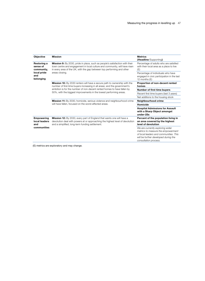| Objective                                                                | <b>Mission</b>                                                                                                                                                                                                                                                                                                 | <b>Metrics</b><br>(Headline/Supporting)                                                                                                                                           |
|--------------------------------------------------------------------------|----------------------------------------------------------------------------------------------------------------------------------------------------------------------------------------------------------------------------------------------------------------------------------------------------------------|-----------------------------------------------------------------------------------------------------------------------------------------------------------------------------------|
| Restoring a<br>sense of<br>community,<br>local pride<br>and<br>belonging | <b>Mission 9:</b> By 2030, pride in place, such as people's satisfaction with their<br>town centre and engagement in local culture and community, will have risen<br>in every area of the UK, with the gap between top performing and other<br>areas closing.                                                  | Percentage of adults who are satisfied<br>with their local area as a place to live<br>(E)                                                                                         |
|                                                                          |                                                                                                                                                                                                                                                                                                                | Percentage of individuals who have<br>engaged in civic participation in the last<br>12 months (E)                                                                                 |
|                                                                          | <b>Mission 10:</b> By 2030 renters will have a secure path to ownership with the<br>number of first-time buyers increasing in all areas; and the government's<br>ambition is for the number of non-decent rented homes to have fallen by<br>50%, with the biggest improvements in the lowest performing areas. | Proportion of non-decent rented<br>homes                                                                                                                                          |
|                                                                          |                                                                                                                                                                                                                                                                                                                | <b>Number of first time buyers</b>                                                                                                                                                |
|                                                                          |                                                                                                                                                                                                                                                                                                                | Recent first time buyers (last 3 years)                                                                                                                                           |
|                                                                          |                                                                                                                                                                                                                                                                                                                | Net additions to the housing stock                                                                                                                                                |
|                                                                          | <b>Mission 11:</b> By 2030, homicide, serious violence and neighbourhood crime<br>will have fallen, focused on the worst-affected areas.                                                                                                                                                                       | Neighbourhood crime                                                                                                                                                               |
|                                                                          |                                                                                                                                                                                                                                                                                                                | Homicide                                                                                                                                                                          |
|                                                                          |                                                                                                                                                                                                                                                                                                                | <b>Hospital Admissions for Assault</b><br>with a Sharp Object amongst<br>under-25s                                                                                                |
| <b>Empowering</b><br>local leaders<br>and<br>communities                 | <b>Mission 12:</b> By 2030, every part of England that wants one will have a<br>devolution deal with powers at or approaching the highest level of devolution<br>and a simplified, long-term funding settlement.                                                                                               | Percent of the population living in<br>an area covered by the highest<br>level of devolution                                                                                      |
|                                                                          |                                                                                                                                                                                                                                                                                                                | We are currently exploring wider<br>metrics to measure the empowerment<br>of local leaders and communities. This<br>will be further developed during the<br>consultation process. |

(E) metrics are exploratory and may change.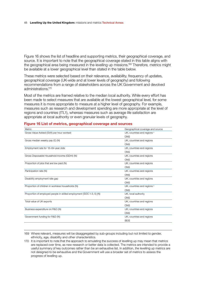Figure 16 shows the list of headline and supporting metrics, their geographical coverage, and source. It is important to note that the geographical coverage stated in this table aligns with the geographical area being measured in the levelling up missions.<sup>169</sup> Therefore, metrics might be available at a lower geographical level than stated in the table below.

These metrics were selected based on their relevance, availability, frequency of updates, geographical coverage (UK-wide and at lower levels of geography) and following recommendations from a range of stakeholders across the UK Government and devolved administrations.170

Most of the metrics are framed relative to the median local authority. While every effort has been made to select measures that are available at the lowest geographical level, for some measures it is more appropriate to measure at a higher level of geography. For example, measures such as research and development spending are more appropriate at the level of regions and countries (ITL1), whereas measures such as average life satisfaction are appropriate at local authority or even granular levels of geography.

| <b>Metric</b>                                                        | Geographical coverage and source       |
|----------------------------------------------------------------------|----------------------------------------|
| Gross Value Added (GVA) per hour worked                              | UK, countries and regions <sup>#</sup> |
|                                                                      | <b>ONS</b>                             |
| Gross median weekly pay (£) (N)                                      | UK, countries and regions              |
|                                                                      | <b>ONS</b>                             |
| Employment rate for 16-64-year olds                                  | UK, countries and regions              |
|                                                                      | <b>ONS</b>                             |
| Gross Disposable Household Income (GDHI) (N)                         | UK, countries and regions              |
|                                                                      | <b>ONS</b>                             |
| Proportion of jobs that are low paid (N)                             | UK, countries and regions              |
|                                                                      | <b>ONS</b>                             |
| Participation rate (N)                                               | UK. countries and regions              |
|                                                                      | ONS                                    |
| Disability employment rate gap                                       | UK, countries and regions              |
|                                                                      | <b>ONS</b>                             |
| Proportion of children in workless households (N)                    | UK, countries and regions <sup>#</sup> |
|                                                                      | <b>ONS</b>                             |
| Proportion of employed people in skilled employment (SOC 1-3, 5) (N) | UK, local authority                    |
|                                                                      | <b>ONS</b>                             |
| Total value of UK exports                                            | UK, countries and regions              |
|                                                                      | <b>ONS</b>                             |
| Business expenditure on R&D (N)                                      | UK, countries and regions              |
|                                                                      | <b>ONS</b>                             |
| Government funding for R&D (N)                                       | UK, countries and regions              |
|                                                                      | <b>BEIS</b>                            |
|                                                                      |                                        |

## **Figure 16 List of metrics, geographical coverage and sources**

169 Where relevant, measures will be disaggregated by sub-groups including but not limited to gender, ethnicity, age, disability and other characteristics.

170 It is important to note that the approach to emulating the success of levelling up may mean that metrics are replaced over time, as new research or better data is collected. The metrics are intended to provide a useful summary of key outcomes rather than be an exhaustive list. In addition, the levelling up metrics are not designed to be exhaustive and the Government will use a broader set of metrics to assess the progress of levelling up.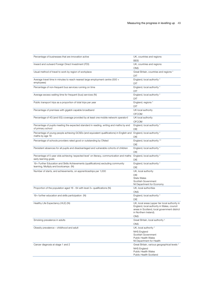| Percentage of businesses that are innovation active                                                               | UK, countries and regions                      |
|-------------------------------------------------------------------------------------------------------------------|------------------------------------------------|
|                                                                                                                   | <b>BEIS</b>                                    |
| Inward and outward Foreign Direct Investment (FDI)                                                                | UK, countries and regions                      |
|                                                                                                                   | <b>ONS</b>                                     |
| Usual method of travel to work by region of workplace                                                             | Great Britain, countries and regions *         |
|                                                                                                                   | DfT                                            |
| Average travel time in minutes to reach nearest large employment centre (500 +                                    | England, local authority *                     |
| employees)                                                                                                        | DfT                                            |
|                                                                                                                   |                                                |
| Percentage of non-frequent bus services running on time                                                           | England, local authority *                     |
|                                                                                                                   | <b>DfT</b>                                     |
| Average excess waiting time for frequent (bus) services (N)                                                       | England, local authority *                     |
|                                                                                                                   | DfT                                            |
| Public transport trips as a proportion of total trips per year                                                    | England, regions *                             |
|                                                                                                                   | DfT                                            |
| Percentage of premises with gigabit-capable broadband                                                             | UK local authority                             |
|                                                                                                                   | <b>OFCOM</b>                                   |
| Percentage of 4G (and 5G) coverage provided by at least one mobile network operator +                             | UK local authority                             |
|                                                                                                                   | <b>OFCOM</b>                                   |
| Percentage of pupils meeting the expected standard in reading, writing and maths by end                           | England, local authority *                     |
| of primary school                                                                                                 | <b>DfE</b>                                     |
| Percentage of young people achieving GCSEs (and equivalent qualifications) in English and                         | England, local authority *                     |
| maths by age 19                                                                                                   | <b>DfE</b>                                     |
| Percentage of schools providers rated good or outstanding by Ofsted                                               | England, local authority **                    |
|                                                                                                                   | <b>DfE</b>                                     |
|                                                                                                                   |                                                |
| Persistent absences for all pupils and disadvantaged and vulnerable cohorts of children                           | England, local authority *                     |
|                                                                                                                   | <b>DfE</b>                                     |
| Percentage of 5-year olds achieving 'expected level' on literacy, communication and maths<br>early learning goals | England, local authority *                     |
|                                                                                                                   | <b>DfE</b>                                     |
| 19+ Further Education and Skills Achievements (qualifications) excluding community                                | England, local authority *                     |
| learning, Multiply and bootcamps (N)                                                                              | <b>DfE</b>                                     |
| Number of starts, and achievements, on apprenticeships per 1,000                                                  | UK, local authority                            |
|                                                                                                                   | <b>DfE</b>                                     |
|                                                                                                                   | <b>Stats Wales</b>                             |
|                                                                                                                   | Scottish Government                            |
|                                                                                                                   | NI Department for Economy                      |
| Proportion of the population aged 16 - 64 with level 3+ qualifications (N)                                        | UK, local authorities                          |
|                                                                                                                   | ONS                                            |
| 19+ further education and skills participation (N)                                                                | England, local authority *                     |
|                                                                                                                   | <b>DfE</b>                                     |
| Healthy Life Expectancy (HLE) (N)                                                                                 | UK, local areas (upper tier local authority in |
|                                                                                                                   | England, local authority in Wales, council     |
|                                                                                                                   | areas in Scotland, local government district   |
|                                                                                                                   | in Northern Ireland).                          |
|                                                                                                                   | <b>ONS</b>                                     |
| Smoking prevalence in adults                                                                                      | Great Britain, local authority <sup>#</sup>    |
|                                                                                                                   | <b>ONS</b>                                     |
| Obesity prevalence - childhood and adult                                                                          | UK, local authority *                          |
|                                                                                                                   | <b>NHS England</b>                             |
|                                                                                                                   | Scottish Government                            |
|                                                                                                                   | <b>Public Health Wales</b>                     |
|                                                                                                                   | NI Department for Health                       |
| Cancer diagnosis at stage 1 and 2                                                                                 | Great Britain, various geographical levels *   |
|                                                                                                                   | <b>NHS England</b>                             |
|                                                                                                                   | <b>Public Health Wales</b>                     |
|                                                                                                                   | Public Health Scotland                         |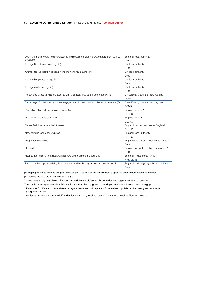#### 50 **Levelling Up the United Kingdom:** missions and metrics Technical Annex

| Under 75 mortality rate from cardiovascular diseases considered preventable (per 100,000    | England, local authority *               |
|---------------------------------------------------------------------------------------------|------------------------------------------|
| population)                                                                                 | <b>DHSC</b>                              |
| Average life satisfaction ratings (N)                                                       | UK, local authority                      |
|                                                                                             | <b>ONS</b>                               |
| Average feeling that things done in life are worthwhile ratings (N)                         | UK, local authority                      |
|                                                                                             | <b>ONS</b>                               |
| Average happiness ratings (N)                                                               | UK, local authority                      |
|                                                                                             | <b>ONS</b>                               |
| Average anxiety ratings (N)                                                                 | UK, local authority                      |
|                                                                                             | <b>ONS</b>                               |
| Percentage of adults who are satisfied with their local area as a place to live (N) (E)     | Great Britain, countries and regions *   |
|                                                                                             | <b>DCMS</b>                              |
| Percentage of individuals who have engaged in civic participation in the last 12 months (E) | Great Britain, countries and regions *   |
|                                                                                             | <b>DCMS</b>                              |
| Proportion of non-decent rented homes (N)                                                   | England, regions *                       |
|                                                                                             | <b>DLUHC</b>                             |
| Number of first-time buyers (N)                                                             | England, regions **                      |
|                                                                                             | <b>DLUHC</b>                             |
| Recent first time buyers (last 3 years)                                                     | England, London and rest of England *    |
|                                                                                             | <b>DLUHC</b>                             |
| Net additions to the housing stock                                                          | England, local authority *               |
|                                                                                             | <b>DLUHC</b>                             |
| Neighbourhood crime                                                                         | England and Wales, Police Force Areas ** |
|                                                                                             | <b>ONS</b>                               |
| Homicide                                                                                    | England and Wales, Police Force Areas *  |
|                                                                                             | <b>ONS</b>                               |
| Hospital admissions for assault with a sharp object amongst under-25s                       | England, Police Force Areas *            |
|                                                                                             | <b>NHS Digital</b>                       |
| Percent of the population living in an area covered by the highest level of devolution (N)  | England, various geographical locations  |
|                                                                                             | <b>ONS</b>                               |

(N) Highlights those metrics not published at SR21 as part of the government's updated priority outcomes and metrics. (E) metrics are exploratory and may change.

\* statistics are only available for England or available for all/ some UK countries and regions but are not coherent.

\*\* metric is currently unavailable. Work will be undertaken by government departments to address these data gaps.

† Estimates for 5G are not available on a regular basis and will replace 4G once data is published frequently and at a lower geographical level.

‡ statistics are available for the UK and at local authority level but only at the national level for Northern Ireland.